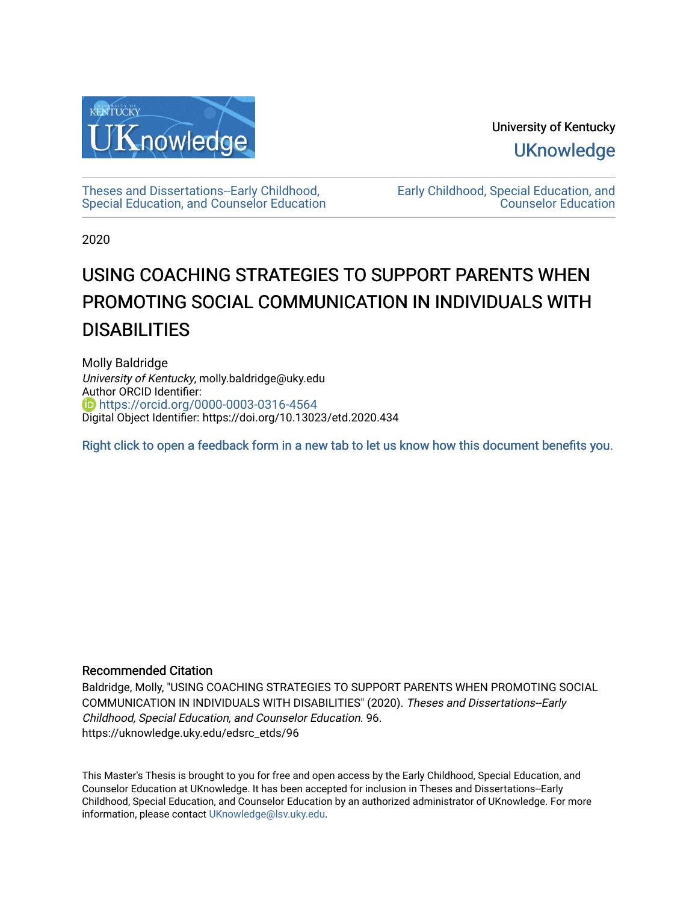

University of Kentucky **UKnowledge** 

[Theses and Dissertations--Early Childhood,](https://uknowledge.uky.edu/edsrc_etds)  [Special Education, and Counselor Education](https://uknowledge.uky.edu/edsrc_etds) [Early Childhood, Special Education, and](https://uknowledge.uky.edu/edsrc)  [Counselor Education](https://uknowledge.uky.edu/edsrc) 

2020

# USING COACHING STRATEGIES TO SUPPORT PARENTS WHEN PROMOTING SOCIAL COMMUNICATION IN INDIVIDUALS WITH **DISABILITIES**

Molly Baldridge University of Kentucky, molly.baldridge@uky.edu Author ORCID Identifier: **b** https://orcid.org/0000-0003-0316-4564 Digital Object Identifier: https://doi.org/10.13023/etd.2020.434

[Right click to open a feedback form in a new tab to let us know how this document benefits you.](https://uky.az1.qualtrics.com/jfe/form/SV_9mq8fx2GnONRfz7)

### Recommended Citation

Baldridge, Molly, "USING COACHING STRATEGIES TO SUPPORT PARENTS WHEN PROMOTING SOCIAL COMMUNICATION IN INDIVIDUALS WITH DISABILITIES" (2020). Theses and Dissertations--Early Childhood, Special Education, and Counselor Education. 96. https://uknowledge.uky.edu/edsrc\_etds/96

This Master's Thesis is brought to you for free and open access by the Early Childhood, Special Education, and Counselor Education at UKnowledge. It has been accepted for inclusion in Theses and Dissertations--Early Childhood, Special Education, and Counselor Education by an authorized administrator of UKnowledge. For more information, please contact [UKnowledge@lsv.uky.edu](mailto:UKnowledge@lsv.uky.edu).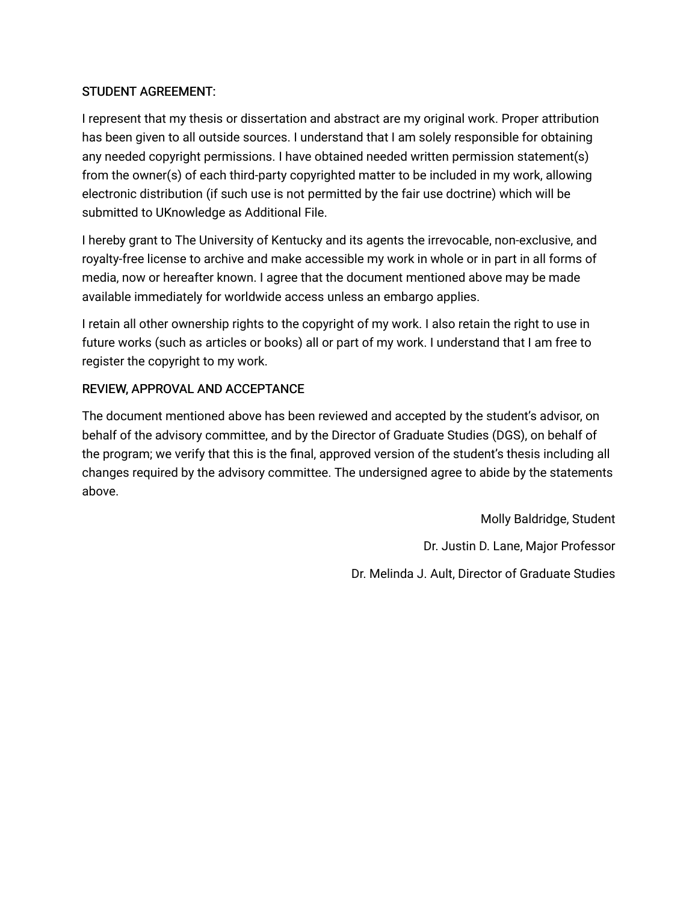# STUDENT AGREEMENT:

I represent that my thesis or dissertation and abstract are my original work. Proper attribution has been given to all outside sources. I understand that I am solely responsible for obtaining any needed copyright permissions. I have obtained needed written permission statement(s) from the owner(s) of each third-party copyrighted matter to be included in my work, allowing electronic distribution (if such use is not permitted by the fair use doctrine) which will be submitted to UKnowledge as Additional File.

I hereby grant to The University of Kentucky and its agents the irrevocable, non-exclusive, and royalty-free license to archive and make accessible my work in whole or in part in all forms of media, now or hereafter known. I agree that the document mentioned above may be made available immediately for worldwide access unless an embargo applies.

I retain all other ownership rights to the copyright of my work. I also retain the right to use in future works (such as articles or books) all or part of my work. I understand that I am free to register the copyright to my work.

# REVIEW, APPROVAL AND ACCEPTANCE

The document mentioned above has been reviewed and accepted by the student's advisor, on behalf of the advisory committee, and by the Director of Graduate Studies (DGS), on behalf of the program; we verify that this is the final, approved version of the student's thesis including all changes required by the advisory committee. The undersigned agree to abide by the statements above.

> Molly Baldridge, Student Dr. Justin D. Lane, Major Professor Dr. Melinda J. Ault, Director of Graduate Studies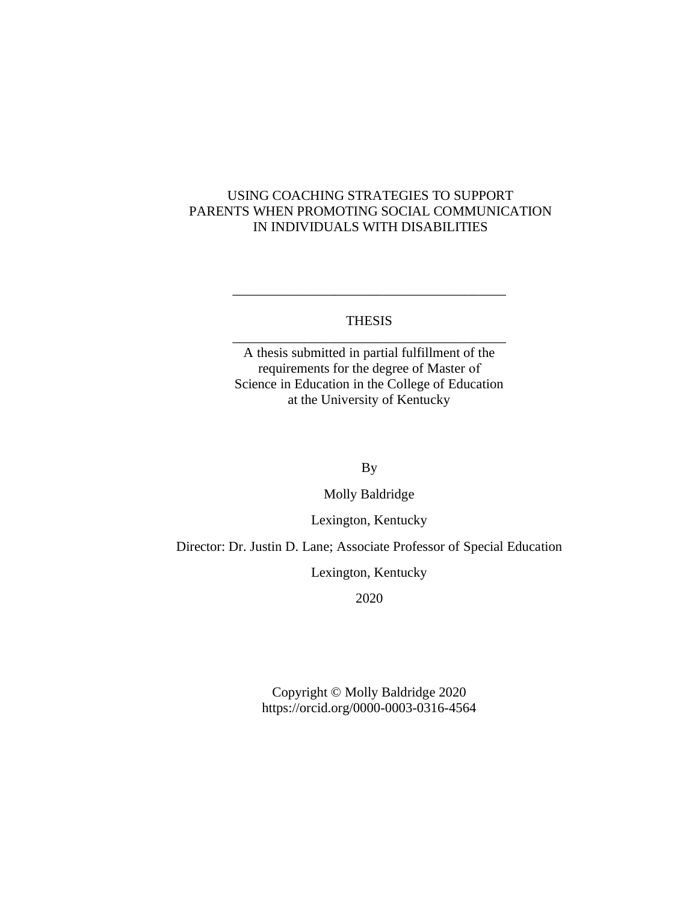## USING COACHING STRATEGIES TO SUPPORT PARENTS WHEN PROMOTING SOCIAL COMMUNICATION IN INDIVIDUALS WITH DISABILITIES

### THESIS \_\_\_\_\_\_\_\_\_\_\_\_\_\_\_\_\_\_\_\_\_\_\_\_\_\_\_\_\_\_\_\_\_\_\_\_\_\_\_\_

\_\_\_\_\_\_\_\_\_\_\_\_\_\_\_\_\_\_\_\_\_\_\_\_\_\_\_\_\_\_\_\_\_\_\_\_\_\_\_\_

A thesis submitted in partial fulfillment of the requirements for the degree of Master of Science in Education in the College of Education at the University of Kentucky

By

Molly Baldridge

Lexington, Kentucky

Director: Dr. Justin D. Lane; Associate Professor of Special Education

Lexington, Kentucky

2020

Copyright © Molly Baldridge 2020 https://orcid.org/0000-0003-0316-4564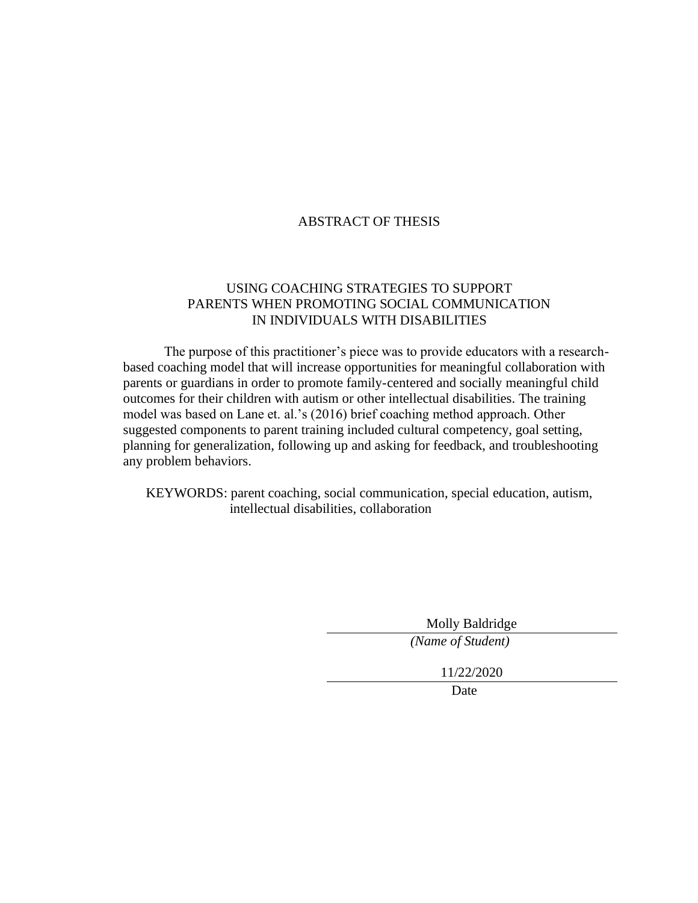### ABSTRACT OF THESIS

### USING COACHING STRATEGIES TO SUPPORT PARENTS WHEN PROMOTING SOCIAL COMMUNICATION IN INDIVIDUALS WITH DISABILITIES

The purpose of this practitioner's piece was to provide educators with a researchbased coaching model that will increase opportunities for meaningful collaboration with parents or guardians in order to promote family-centered and socially meaningful child outcomes for their children with autism or other intellectual disabilities. The training model was based on Lane et. al.'s (2016) brief coaching method approach. Other suggested components to parent training included cultural competency, goal setting, planning for generalization, following up and asking for feedback, and troubleshooting any problem behaviors.

KEYWORDS: parent coaching, social communication, special education, autism, intellectual disabilities, collaboration

> Molly Baldridge *(Name of Student)*

11/22/2020

Date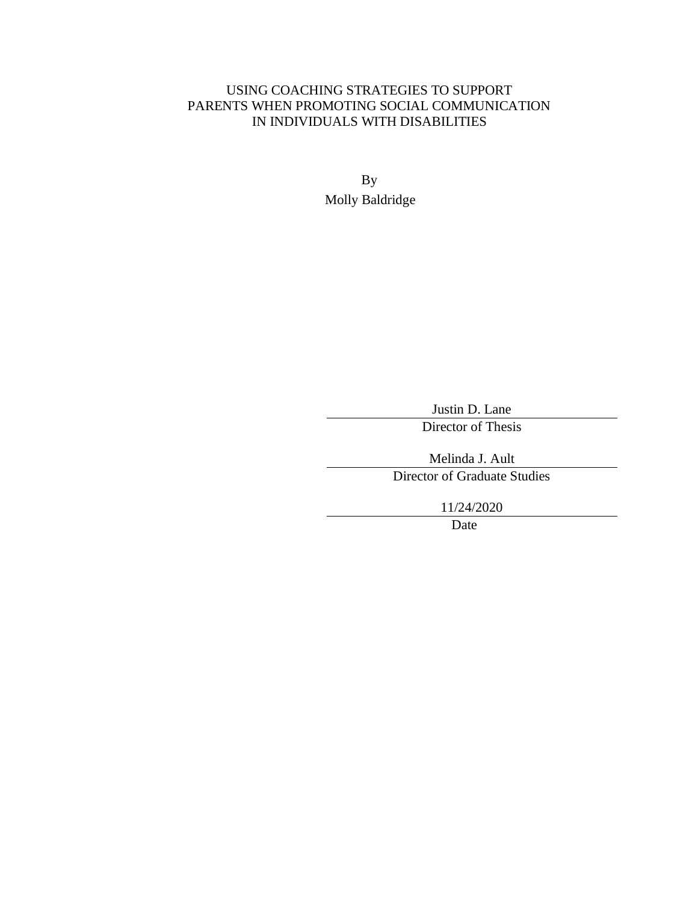# USING COACHING STRATEGIES TO SUPPORT PARENTS WHEN PROMOTING SOCIAL COMMUNICATION IN INDIVIDUALS WITH DISABILITIES

By Molly Baldridge

Justin D. Lane

Director of Thesis

Melinda J. Ault

Director of Graduate Studies

11/24/2020

Date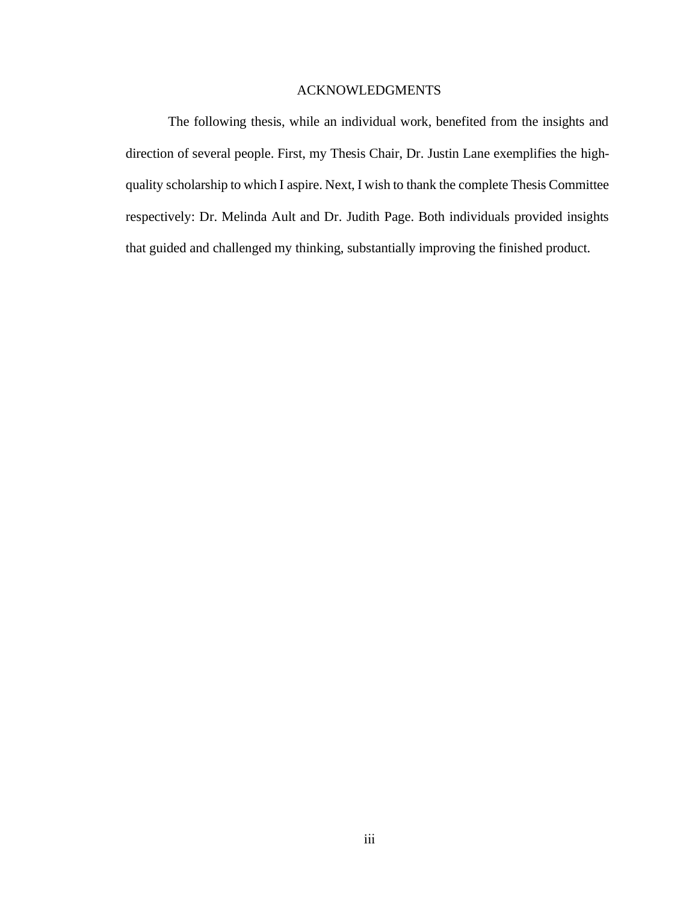#### ACKNOWLEDGMENTS

<span id="page-5-0"></span>The following thesis, while an individual work, benefited from the insights and direction of several people. First, my Thesis Chair, Dr. Justin Lane exemplifies the highquality scholarship to which I aspire. Next, I wish to thank the complete Thesis Committee respectively: Dr. Melinda Ault and Dr. Judith Page. Both individuals provided insights that guided and challenged my thinking, substantially improving the finished product.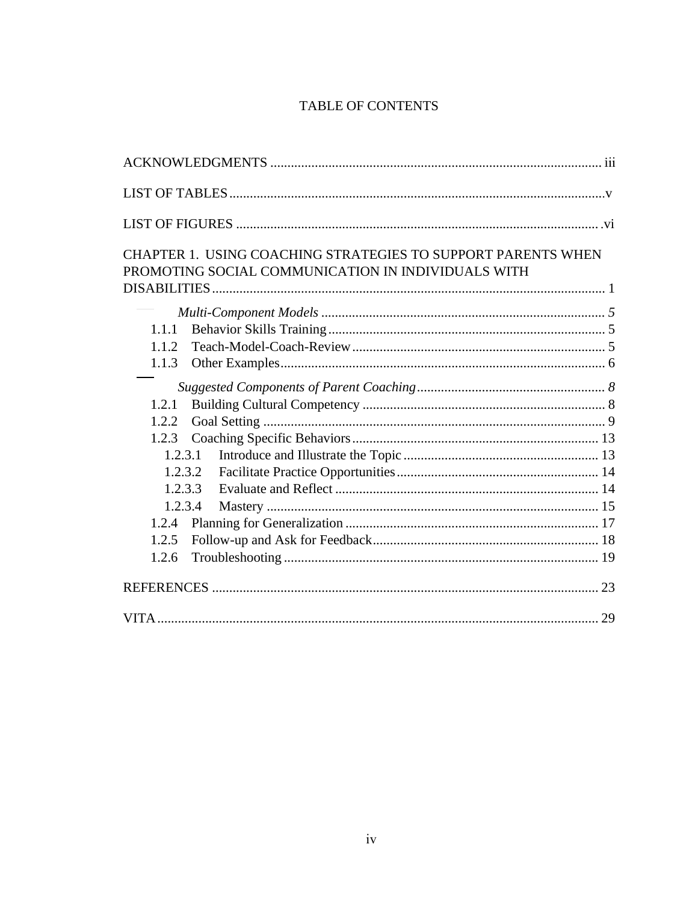# TABLE OF CONTENTS

|       | CHAPTER 1. USING COACHING STRATEGIES TO SUPPORT PARENTS WHEN |    |
|-------|--------------------------------------------------------------|----|
|       | PROMOTING SOCIAL COMMUNICATION IN INDIVIDUALS WITH           |    |
|       |                                                              |    |
|       |                                                              |    |
| 1.1.1 |                                                              |    |
| 1.1.2 |                                                              |    |
| 1.1.3 |                                                              |    |
|       |                                                              |    |
| 1.2.1 |                                                              |    |
| 1.2.2 |                                                              |    |
| 1.2.3 |                                                              |    |
|       | 1.2.3.1                                                      |    |
|       | 1,2,3,2                                                      |    |
|       | 1.2.3.3                                                      |    |
|       | 1.2.3.4                                                      |    |
|       |                                                              |    |
| 1.2.5 |                                                              |    |
| 1.2.6 |                                                              |    |
|       |                                                              |    |
|       |                                                              | 29 |
|       |                                                              |    |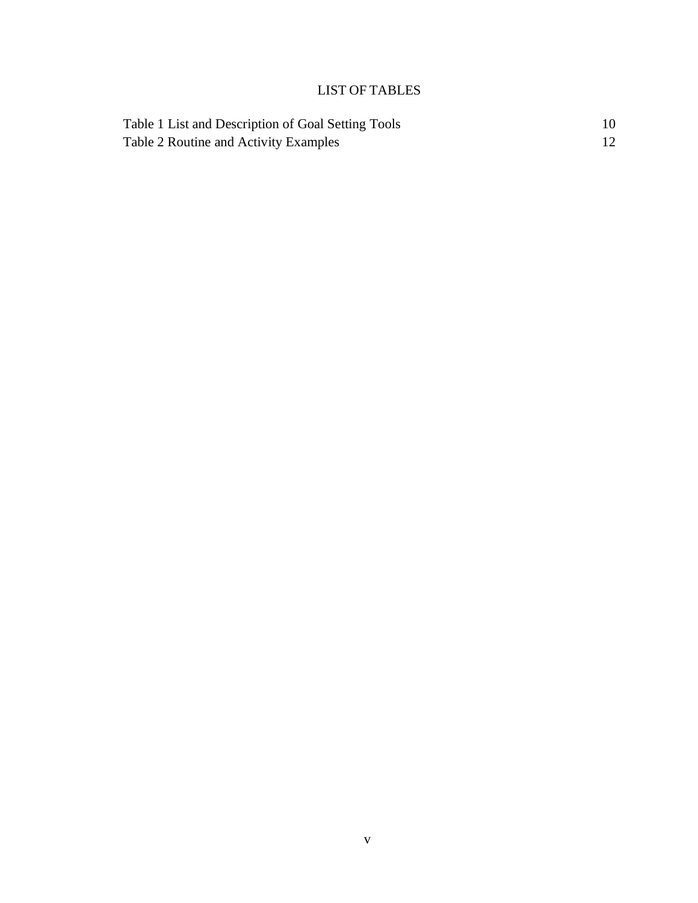# LIST OF TABLES

<span id="page-7-0"></span>

| Table 1 List and Description of Goal Setting Tools |  |
|----------------------------------------------------|--|
| Table 2 Routine and Activity Examples              |  |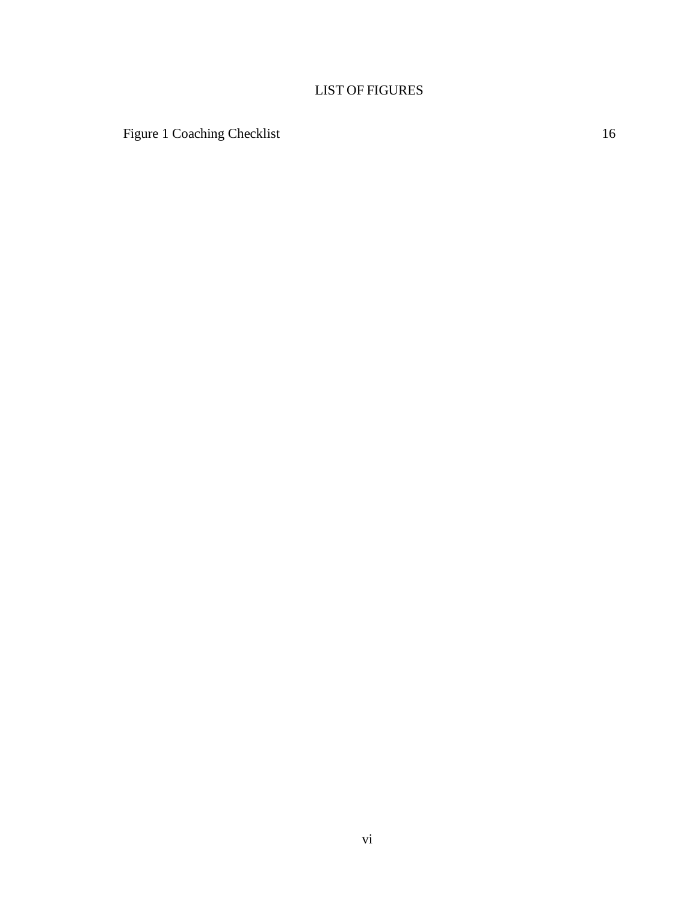# LIST OF FIGURES

<span id="page-8-0"></span>[Figure 1 Coaching Checklist](#page-24-0) 16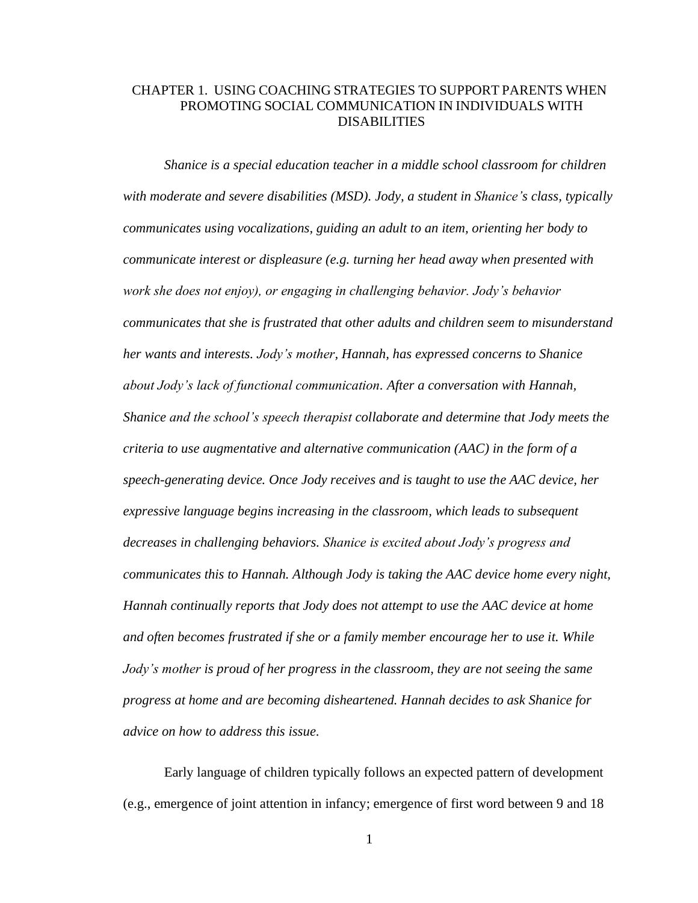### <span id="page-9-0"></span>CHAPTER 1. USING COACHING STRATEGIES TO SUPPORT PARENTS WHEN PROMOTING SOCIAL COMMUNICATION IN INDIVIDUALS WITH DISABILITIES

*Shanice is a special education teacher in a middle school classroom for children with moderate and severe disabilities (MSD). Jody, a student in Shanice's class, typically communicates using vocalizations, guiding an adult to an item, orienting her body to communicate interest or displeasure (e.g. turning her head away when presented with work she does not enjoy), or engaging in challenging behavior. Jody's behavior communicates that she is frustrated that other adults and children seem to misunderstand her wants and interests. Jody's mother, Hannah, has expressed concerns to Shanice about Jody's lack of functional communication. After a conversation with Hannah, Shanice and the school's speech therapist collaborate and determine that Jody meets the criteria to use augmentative and alternative communication (AAC) in the form of a speech-generating device. Once Jody receives and is taught to use the AAC device, her expressive language begins increasing in the classroom, which leads to subsequent decreases in challenging behaviors. Shanice is excited about Jody's progress and communicates this to Hannah. Although Jody is taking the AAC device home every night, Hannah continually reports that Jody does not attempt to use the AAC device at home and often becomes frustrated if she or a family member encourage her to use it. While Jody's mother is proud of her progress in the classroom, they are not seeing the same progress at home and are becoming disheartened. Hannah decides to ask Shanice for advice on how to address this issue.*

Early language of children typically follows an expected pattern of development (e.g., emergence of joint attention in infancy; emergence of first word between 9 and 18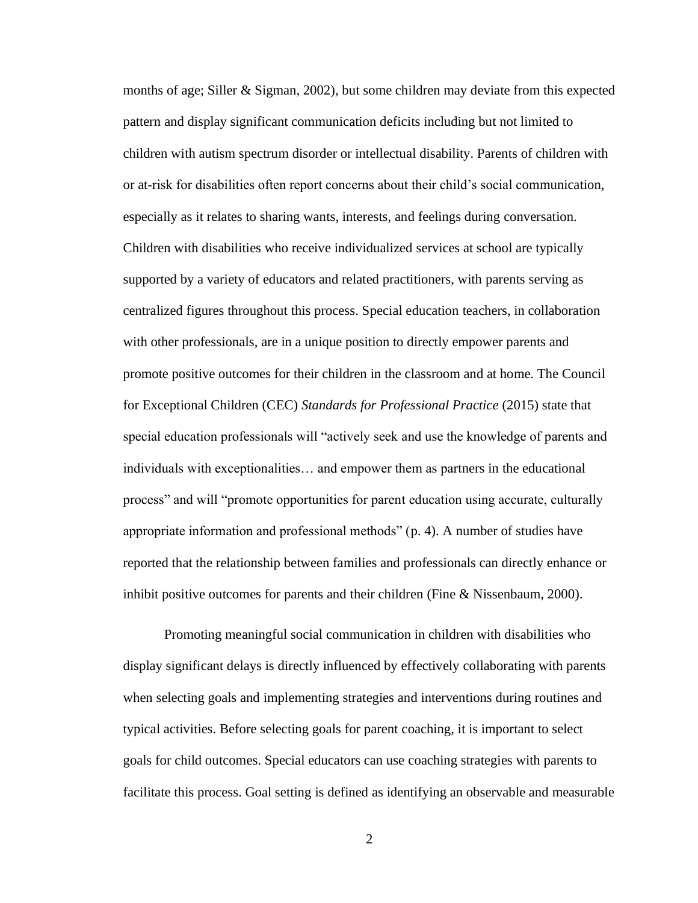months of age; Siller & Sigman, 2002), but some children may deviate from this expected pattern and display significant communication deficits including but not limited to children with autism spectrum disorder or intellectual disability. Parents of children with or at-risk for disabilities often report concerns about their child's social communication, especially as it relates to sharing wants, interests, and feelings during conversation. Children with disabilities who receive individualized services at school are typically supported by a variety of educators and related practitioners, with parents serving as centralized figures throughout this process. Special education teachers, in collaboration with other professionals, are in a unique position to directly empower parents and promote positive outcomes for their children in the classroom and at home. The Council for Exceptional Children (CEC) *Standards for Professional Practice* (2015) state that special education professionals will "actively seek and use the knowledge of parents and individuals with exceptionalities… and empower them as partners in the educational process" and will "promote opportunities for parent education using accurate, culturally appropriate information and professional methods" (p. 4). A number of studies have reported that the relationship between families and professionals can directly enhance or inhibit positive outcomes for parents and their children (Fine  $\&$  Nissenbaum, 2000).

Promoting meaningful social communication in children with disabilities who display significant delays is directly influenced by effectively collaborating with parents when selecting goals and implementing strategies and interventions during routines and typical activities. Before selecting goals for parent coaching, it is important to select goals for child outcomes. Special educators can use coaching strategies with parents to facilitate this process. Goal setting is defined as identifying an observable and measurable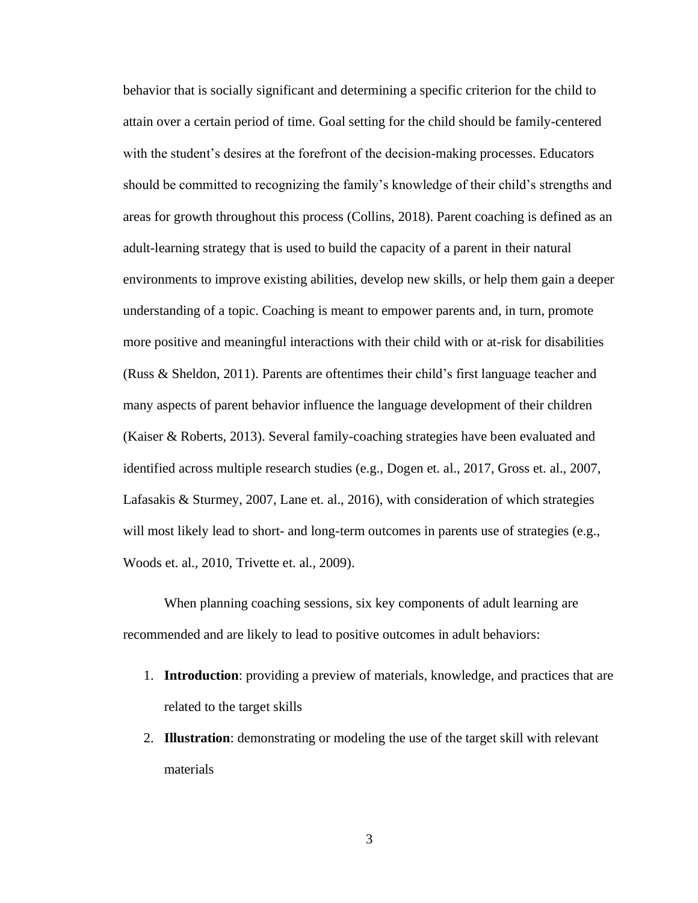behavior that is socially significant and determining a specific criterion for the child to attain over a certain period of time. Goal setting for the child should be family-centered with the student's desires at the forefront of the decision-making processes. Educators should be committed to recognizing the family's knowledge of their child's strengths and areas for growth throughout this process (Collins, 2018). Parent coaching is defined as an adult-learning strategy that is used to build the capacity of a parent in their natural environments to improve existing abilities, develop new skills, or help them gain a deeper understanding of a topic. Coaching is meant to empower parents and, in turn, promote more positive and meaningful interactions with their child with or at-risk for disabilities (Russ & Sheldon, 2011). Parents are oftentimes their child's first language teacher and many aspects of parent behavior influence the language development of their children (Kaiser & Roberts, 2013). Several family-coaching strategies have been evaluated and identified across multiple research studies (e.g., Dogen et. al., 2017, Gross et. al., 2007, Lafasakis & Sturmey, 2007, Lane et. al., 2016), with consideration of which strategies will most likely lead to short- and long-term outcomes in parents use of strategies (e.g., Woods et. al., 2010, Trivette et. al., 2009).

When planning coaching sessions, six key components of adult learning are recommended and are likely to lead to positive outcomes in adult behaviors:

- 1. **Introduction**: providing a preview of materials, knowledge, and practices that are related to the target skills
- 2. **Illustration**: demonstrating or modeling the use of the target skill with relevant materials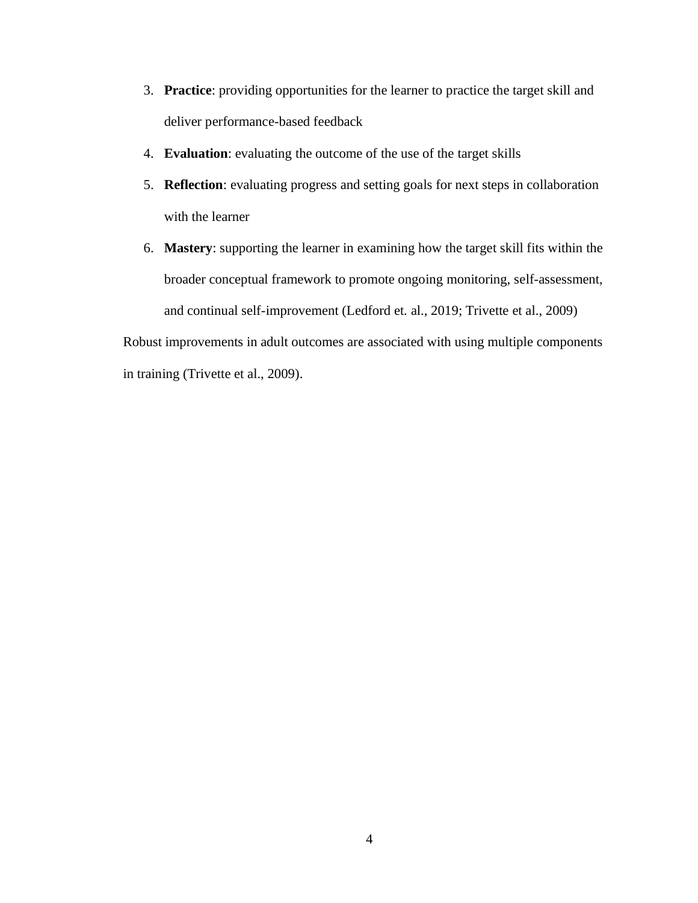- 3. **Practice**: providing opportunities for the learner to practice the target skill and deliver performance-based feedback
- 4. **Evaluation**: evaluating the outcome of the use of the target skills
- 5. **Reflection**: evaluating progress and setting goals for next steps in collaboration with the learner
- 6. **Mastery**: supporting the learner in examining how the target skill fits within the broader conceptual framework to promote ongoing monitoring, self-assessment, and continual self-improvement (Ledford et. al., 2019; Trivette et al., 2009)

Robust improvements in adult outcomes are associated with using multiple components in training (Trivette et al., 2009).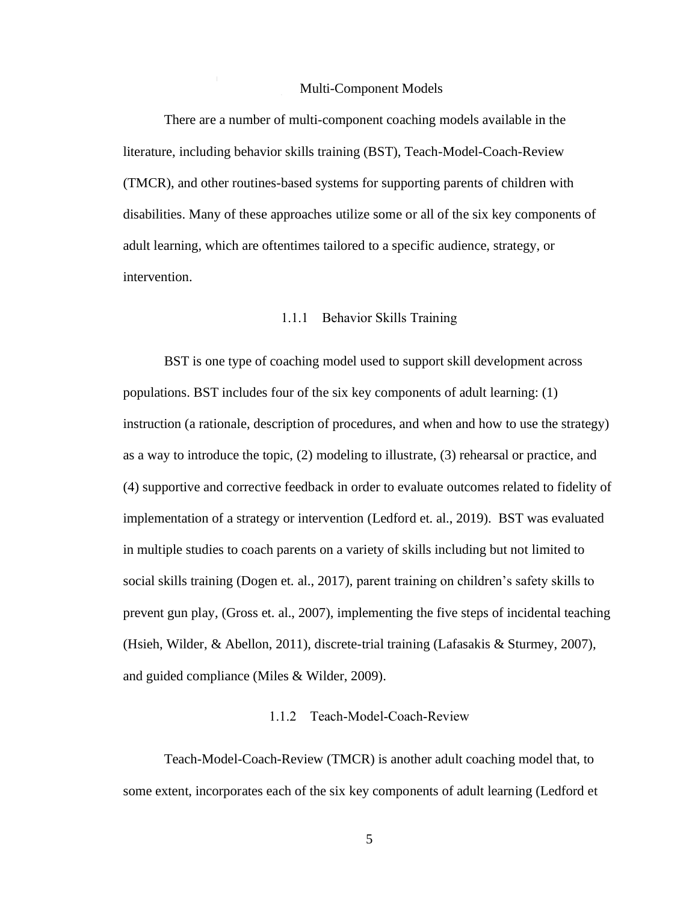#### Multi-Component Models

 $\mathbf{I}$ 

<span id="page-13-0"></span>There are a number of multi-component coaching models available in the literature, including behavior skills training (BST), Teach-Model-Coach-Review (TMCR), and other routines-based systems for supporting parents of children with disabilities. Many of these approaches utilize some or all of the six key components of adult learning, which are oftentimes tailored to a specific audience, strategy, or intervention.

#### 1.1.1 Behavior Skills Training

<span id="page-13-1"></span>BST is one type of coaching model used to support skill development across populations. BST includes four of the six key components of adult learning: (1) instruction (a rationale, description of procedures, and when and how to use the strategy) as a way to introduce the topic, (2) modeling to illustrate, (3) rehearsal or practice, and (4) supportive and corrective feedback in order to evaluate outcomes related to fidelity of implementation of a strategy or intervention (Ledford et. al., 2019). BST was evaluated in multiple studies to coach parents on a variety of skills including but not limited to social skills training (Dogen et. al., 2017), parent training on children's safety skills to prevent gun play, (Gross et. al., 2007), implementing the five steps of incidental teaching (Hsieh, Wilder, & Abellon, 2011), discrete-trial training (Lafasakis & Sturmey, 2007), and guided compliance (Miles & Wilder, 2009).

#### 1.1.2 Teach-Model-Coach-Review

<span id="page-13-2"></span>Teach-Model-Coach-Review (TMCR) is another adult coaching model that, to some extent, incorporates each of the six key components of adult learning (Ledford et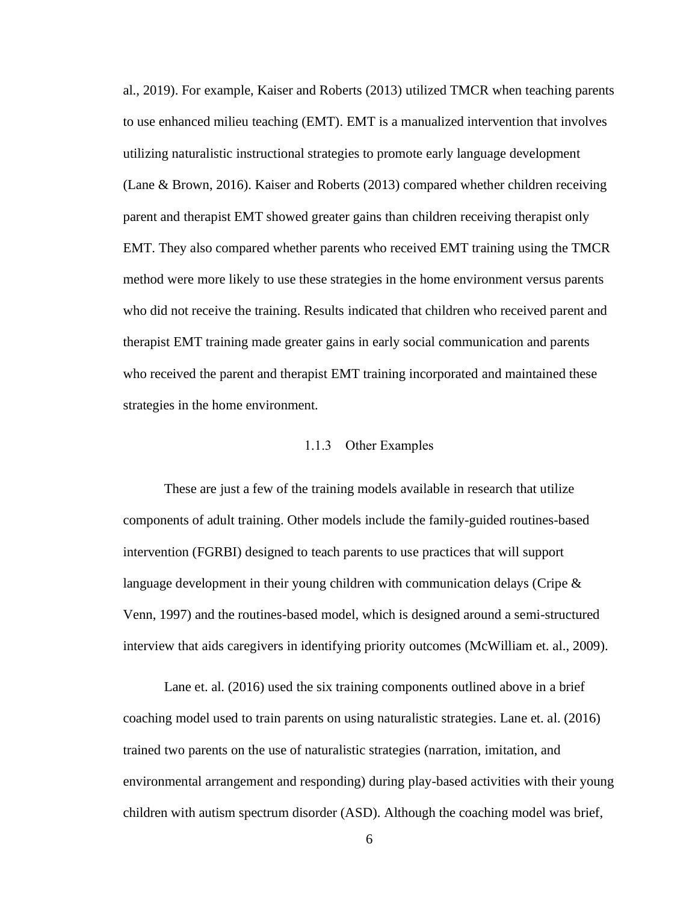al., 2019). For example, Kaiser and Roberts (2013) utilized TMCR when teaching parents to use enhanced milieu teaching (EMT). EMT is a manualized intervention that involves utilizing naturalistic instructional strategies to promote early language development (Lane & Brown, 2016). Kaiser and Roberts (2013) compared whether children receiving parent and therapist EMT showed greater gains than children receiving therapist only EMT. They also compared whether parents who received EMT training using the TMCR method were more likely to use these strategies in the home environment versus parents who did not receive the training. Results indicated that children who received parent and therapist EMT training made greater gains in early social communication and parents who received the parent and therapist EMT training incorporated and maintained these strategies in the home environment.

#### 1.1.3 Other Examples

<span id="page-14-0"></span>These are just a few of the training models available in research that utilize components of adult training. Other models include the family-guided routines-based intervention (FGRBI) designed to teach parents to use practices that will support language development in their young children with communication delays (Cripe  $\&$ Venn, 1997) and the routines-based model, which is designed around a semi-structured interview that aids caregivers in identifying priority outcomes (McWilliam et. al., 2009).

Lane et. al. (2016) used the six training components outlined above in a brief coaching model used to train parents on using naturalistic strategies. Lane et. al. (2016) trained two parents on the use of naturalistic strategies (narration, imitation, and environmental arrangement and responding) during play-based activities with their young children with autism spectrum disorder (ASD). Although the coaching model was brief,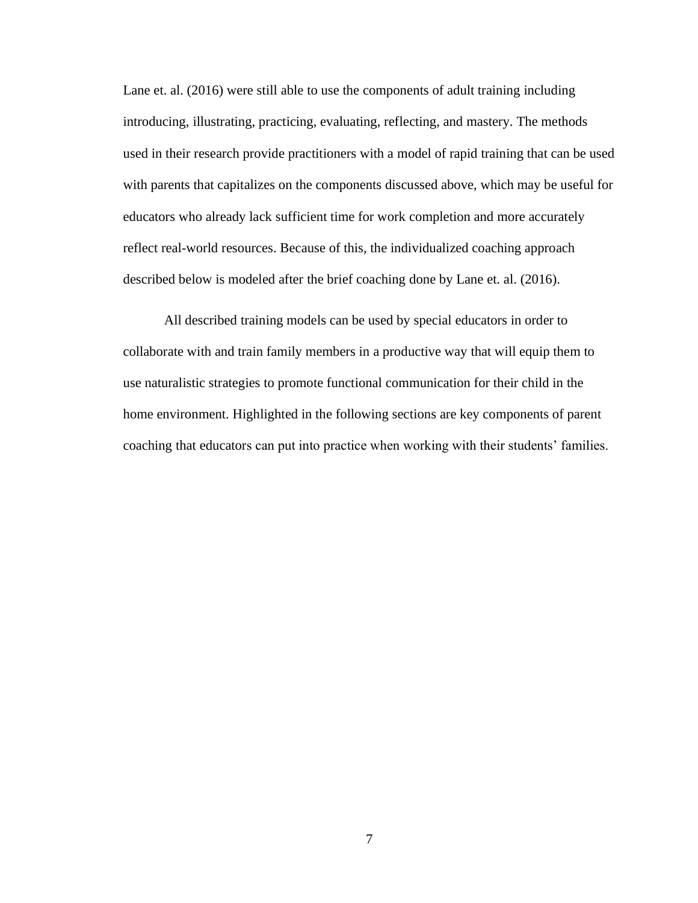Lane et. al. (2016) were still able to use the components of adult training including introducing, illustrating, practicing, evaluating, reflecting, and mastery. The methods used in their research provide practitioners with a model of rapid training that can be used with parents that capitalizes on the components discussed above, which may be useful for educators who already lack sufficient time for work completion and more accurately reflect real-world resources. Because of this, the individualized coaching approach described below is modeled after the brief coaching done by Lane et. al. (2016).

All described training models can be used by special educators in order to collaborate with and train family members in a productive way that will equip them to use naturalistic strategies to promote functional communication for their child in the home environment. Highlighted in the following sections are key components of parent coaching that educators can put into practice when working with their students' families.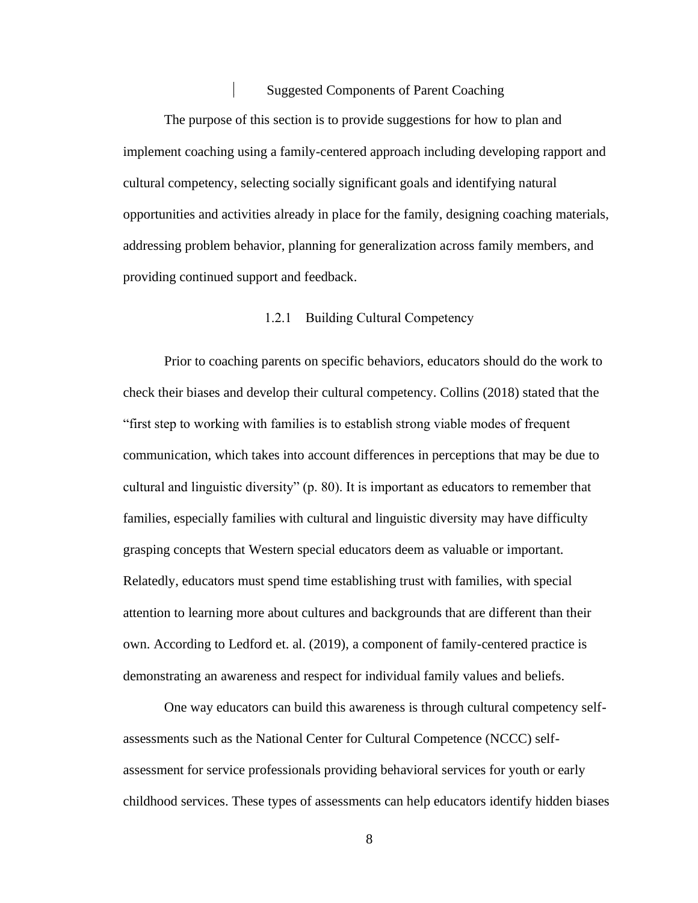#### Suggested Components of Parent Coaching

<span id="page-16-0"></span>The purpose of this section is to provide suggestions for how to plan and implement coaching using a family-centered approach including developing rapport and cultural competency, selecting socially significant goals and identifying natural opportunities and activities already in place for the family, designing coaching materials, addressing problem behavior, planning for generalization across family members, and providing continued support and feedback.

#### 1.2.1 Building Cultural Competency

<span id="page-16-1"></span>Prior to coaching parents on specific behaviors, educators should do the work to check their biases and develop their cultural competency. Collins (2018) stated that the "first step to working with families is to establish strong viable modes of frequent communication, which takes into account differences in perceptions that may be due to cultural and linguistic diversity" (p. 80). It is important as educators to remember that families, especially families with cultural and linguistic diversity may have difficulty grasping concepts that Western special educators deem as valuable or important. Relatedly, educators must spend time establishing trust with families, with special attention to learning more about cultures and backgrounds that are different than their own. According to Ledford et. al. (2019), a component of family-centered practice is demonstrating an awareness and respect for individual family values and beliefs.

One way educators can build this awareness is through cultural competency selfassessments such as the National Center for Cultural Competence (NCCC) selfassessment for service professionals providing behavioral services for youth or early childhood services. These types of assessments can help educators identify hidden biases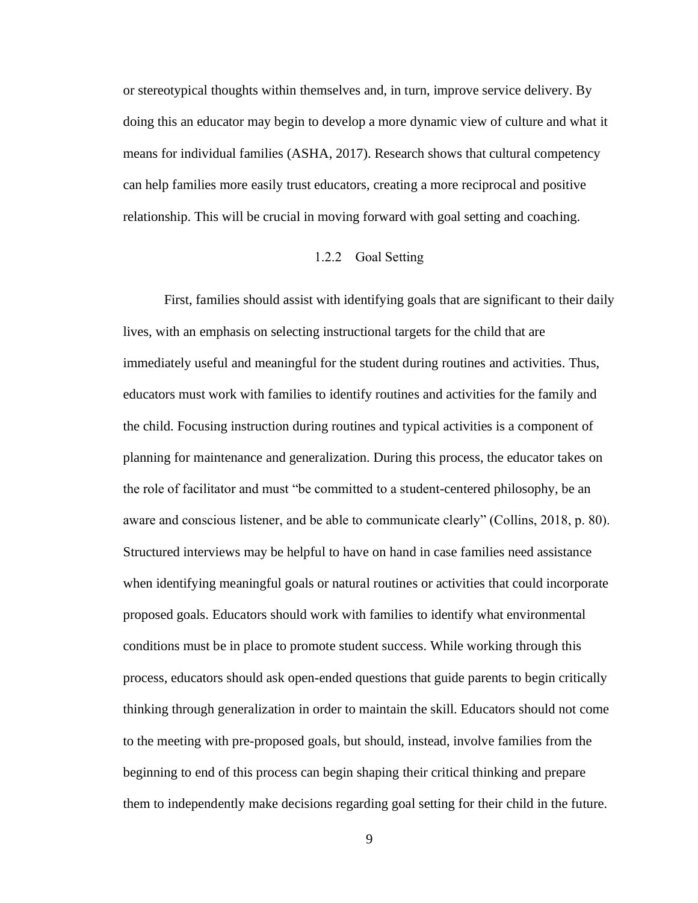or stereotypical thoughts within themselves and, in turn, improve service delivery. By doing this an educator may begin to develop a more dynamic view of culture and what it means for individual families (ASHA, 2017). Research shows that cultural competency can help families more easily trust educators, creating a more reciprocal and positive relationship. This will be crucial in moving forward with goal setting and coaching.

#### 1.2.2 Goal Setting

<span id="page-17-0"></span>First, families should assist with identifying goals that are significant to their daily lives, with an emphasis on selecting instructional targets for the child that are immediately useful and meaningful for the student during routines and activities. Thus, educators must work with families to identify routines and activities for the family and the child. Focusing instruction during routines and typical activities is a component of planning for maintenance and generalization. During this process, the educator takes on the role of facilitator and must "be committed to a student-centered philosophy, be an aware and conscious listener, and be able to communicate clearly" (Collins, 2018, p. 80). Structured interviews may be helpful to have on hand in case families need assistance when identifying meaningful goals or natural routines or activities that could incorporate proposed goals. Educators should work with families to identify what environmental conditions must be in place to promote student success. While working through this process, educators should ask open-ended questions that guide parents to begin critically thinking through generalization in order to maintain the skill. Educators should not come to the meeting with pre-proposed goals, but should, instead, involve families from the beginning to end of this process can begin shaping their critical thinking and prepare them to independently make decisions regarding goal setting for their child in the future.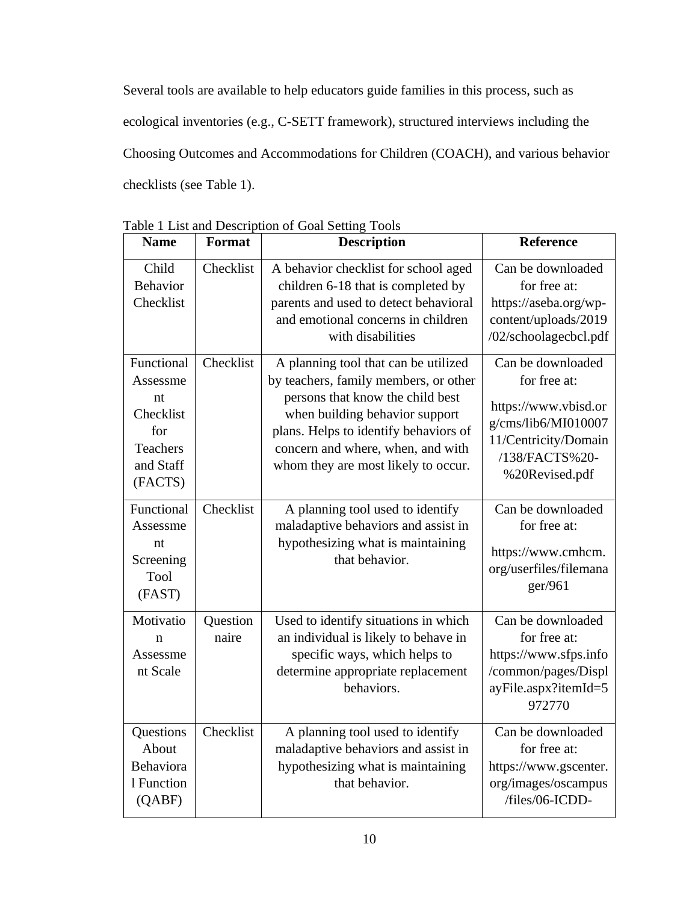Several tools are available to help educators guide families in this process, such as ecological inventories (e.g., C-SETT framework), structured interviews including the Choosing Outcomes and Accommodations for Children (COACH), and various behavior checklists (see Table 1).

| <b>Name</b>                                                                          | Format            | <b>Description</b>                                                                                                                                                                                                                                                       | Reference                                                                                                                                    |
|--------------------------------------------------------------------------------------|-------------------|--------------------------------------------------------------------------------------------------------------------------------------------------------------------------------------------------------------------------------------------------------------------------|----------------------------------------------------------------------------------------------------------------------------------------------|
| Child<br><b>Behavior</b><br>Checklist                                                | Checklist         | A behavior checklist for school aged<br>children 6-18 that is completed by<br>parents and used to detect behavioral<br>and emotional concerns in children<br>with disabilities                                                                                           | Can be downloaded<br>for free at:<br>https://aseba.org/wp-<br>content/uploads/2019<br>/02/schoolagecbcl.pdf                                  |
| Functional<br>Assessme<br>nt<br>Checklist<br>for<br>Teachers<br>and Staff<br>(FACTS) | Checklist         | A planning tool that can be utilized<br>by teachers, family members, or other<br>persons that know the child best<br>when building behavior support<br>plans. Helps to identify behaviors of<br>concern and where, when, and with<br>whom they are most likely to occur. | Can be downloaded<br>for free at:<br>https://www.vbisd.or<br>g/cms/lib6/MI010007<br>11/Centricity/Domain<br>/138/FACTS%20-<br>%20Revised.pdf |
| Functional<br>Assessme<br>nt<br>Screening<br><b>Tool</b><br>(FAST)                   | Checklist         | A planning tool used to identify<br>maladaptive behaviors and assist in<br>hypothesizing what is maintaining<br>that behavior.                                                                                                                                           | Can be downloaded<br>for free at:<br>https://www.cmhcm.<br>org/userfiles/filemana<br>ger/961                                                 |
| Motivatio<br>n<br>Assessme<br>nt Scale                                               | Question<br>naire | Used to identify situations in which<br>an individual is likely to behave in<br>specific ways, which helps to<br>determine appropriate replacement<br>behaviors.                                                                                                         | Can be downloaded<br>for free at:<br>https://www.sfps.info<br>/common/pages/Displ<br>ayFile.aspx?itemId=5<br>972770                          |
| Questions<br>About<br>Behaviora<br>1 Function<br>(QABF)                              | Checklist         | A planning tool used to identify<br>maladaptive behaviors and assist in<br>hypothesizing what is maintaining<br>that behavior.                                                                                                                                           | Can be downloaded<br>for free at:<br>https://www.gscenter.<br>org/images/oscampus<br>/files/06-ICDD-                                         |

<span id="page-18-0"></span>Table 1 List and Description of Goal Setting Tools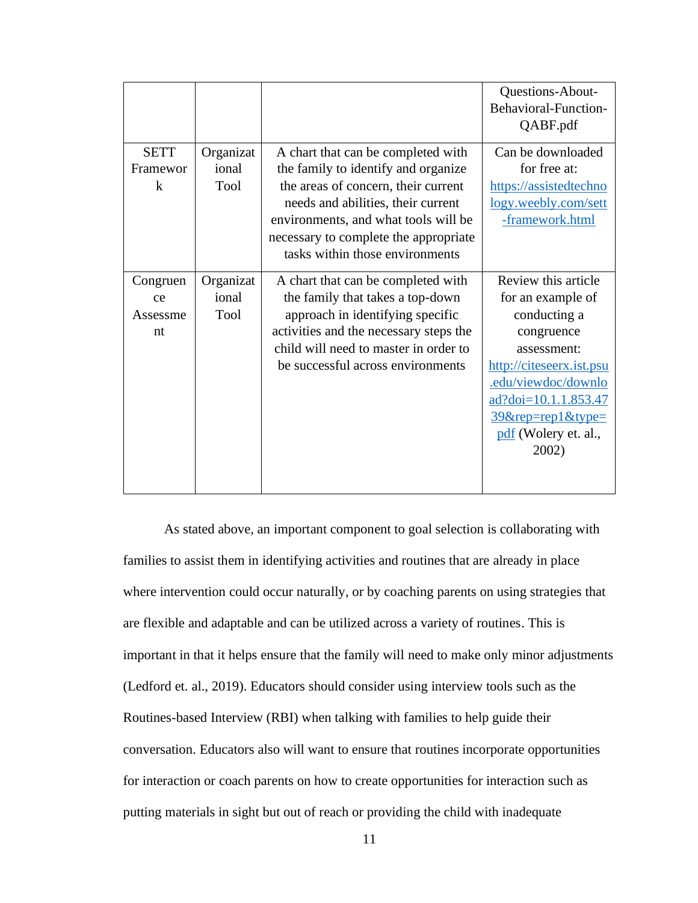|                                         |                            |                                                                                                                                                                                                                                                                            | Questions-About-<br>Behavioral-Function-<br>QABF.pdf                                                                                                                                                                      |
|-----------------------------------------|----------------------------|----------------------------------------------------------------------------------------------------------------------------------------------------------------------------------------------------------------------------------------------------------------------------|---------------------------------------------------------------------------------------------------------------------------------------------------------------------------------------------------------------------------|
| <b>SETT</b><br>Framewor<br>$\mathbf{k}$ | Organizat<br>ional<br>Tool | A chart that can be completed with<br>the family to identify and organize<br>the areas of concern, their current<br>needs and abilities, their current<br>environments, and what tools will be<br>necessary to complete the appropriate<br>tasks within those environments | Can be downloaded<br>for free at:<br>https://assistedtechno<br>logy.weebly.com/sett<br>-framework.html                                                                                                                    |
| Congruen<br>ce<br>Assessme<br>nt        | Organizat<br>ional<br>Tool | A chart that can be completed with<br>the family that takes a top-down<br>approach in identifying specific<br>activities and the necessary steps the<br>child will need to master in order to<br>be successful across environments                                         | Review this article<br>for an example of<br>conducting a<br>congruence<br>assessment:<br>http://citeseerx.ist.psu<br>.edu/viewdoc/downlo<br>ad?doi=10.1.1.853.47<br>$39$ &rep=rep1&type=<br>pdf (Wolery et. al.,<br>2002) |

As stated above, an important component to goal selection is collaborating with families to assist them in identifying activities and routines that are already in place where intervention could occur naturally, or by coaching parents on using strategies that are flexible and adaptable and can be utilized across a variety of routines. This is important in that it helps ensure that the family will need to make only minor adjustments (Ledford et. al., 2019). Educators should consider using interview tools such as the Routines-based Interview (RBI) when talking with families to help guide their conversation. Educators also will want to ensure that routines incorporate opportunities for interaction or coach parents on how to create opportunities for interaction such as putting materials in sight but out of reach or providing the child with inadequate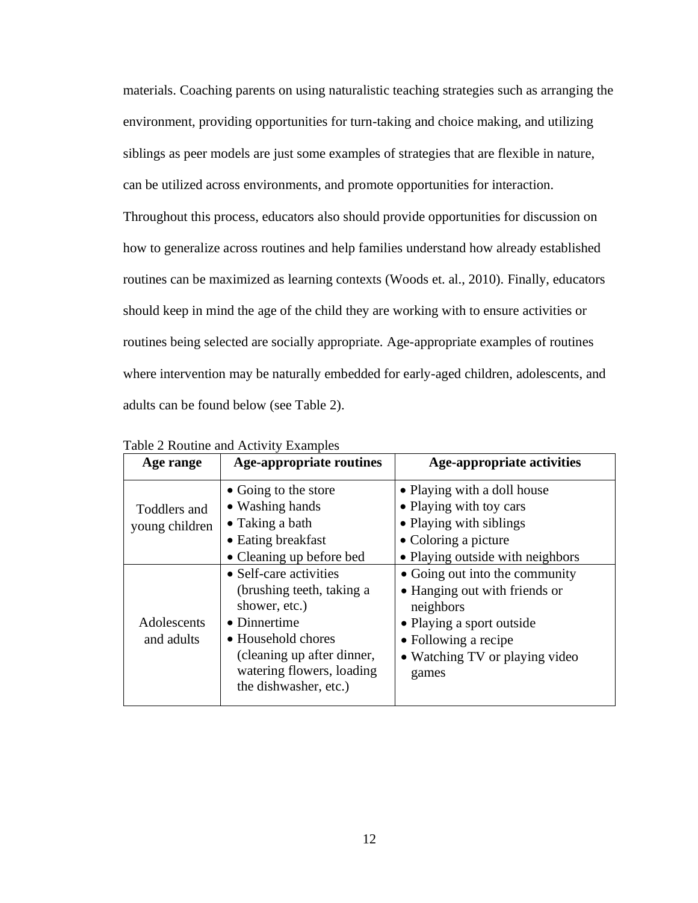materials. Coaching parents on using naturalistic teaching strategies such as arranging the environment, providing opportunities for turn-taking and choice making, and utilizing siblings as peer models are just some examples of strategies that are flexible in nature, can be utilized across environments, and promote opportunities for interaction. Throughout this process, educators also should provide opportunities for discussion on how to generalize across routines and help families understand how already established routines can be maximized as learning contexts (Woods et. al., 2010). Finally, educators should keep in mind the age of the child they are working with to ensure activities or routines being selected are socially appropriate. Age-appropriate examples of routines where intervention may be naturally embedded for early-aged children, adolescents, and adults can be found below (see Table 2).

| Age range                      | <b>Age-appropriate routines</b>                                                                                                                                                                | <b>Age-appropriate activities</b>                                                                                                                                            |
|--------------------------------|------------------------------------------------------------------------------------------------------------------------------------------------------------------------------------------------|------------------------------------------------------------------------------------------------------------------------------------------------------------------------------|
| Toddlers and<br>young children | • Going to the store<br>• Washing hands<br>$\bullet$ Taking a bath<br>• Eating breakfast<br>• Cleaning up before bed                                                                           | • Playing with a doll house<br>• Playing with toy cars<br>• Playing with siblings<br>• Coloring a picture<br>• Playing outside with neighbors                                |
| Adolescents<br>and adults      | • Self-care activities<br>(brushing teeth, taking a<br>shower, etc.)<br>• Dinnertime<br>• Household chores<br>(cleaning up after dinner,<br>watering flowers, loading<br>the dishwasher, etc.) | • Going out into the community<br>• Hanging out with friends or<br>neighbors<br>• Playing a sport outside<br>• Following a recipe<br>• Watching TV or playing video<br>games |

<span id="page-20-0"></span>Table 2 Routine and Activity Examples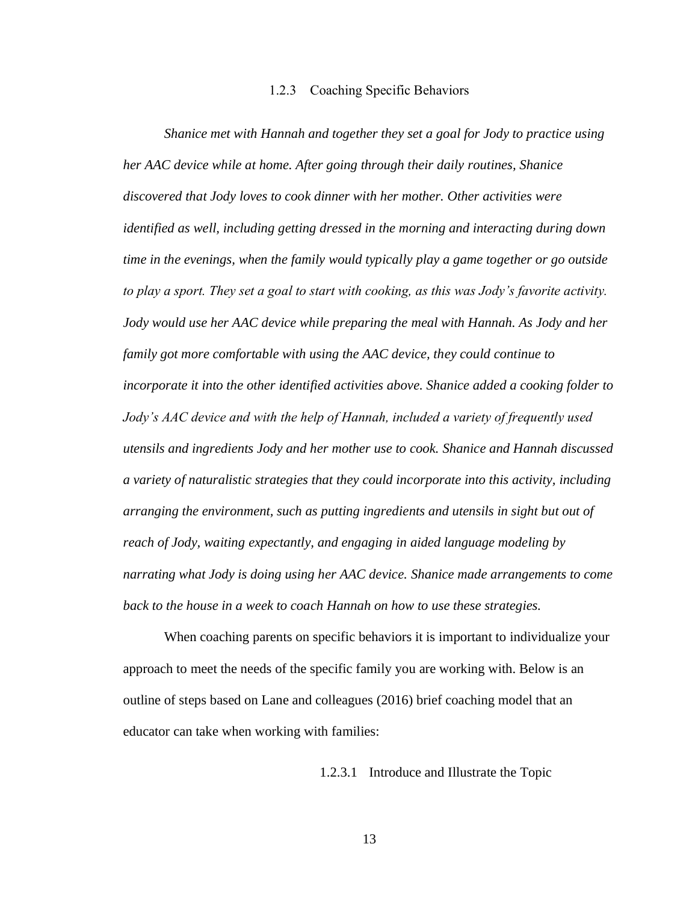#### 1.2.3 Coaching Specific Behaviors

<span id="page-21-0"></span>*Shanice met with Hannah and together they set a goal for Jody to practice using her AAC device while at home. After going through their daily routines, Shanice discovered that Jody loves to cook dinner with her mother. Other activities were identified as well, including getting dressed in the morning and interacting during down time in the evenings, when the family would typically play a game together or go outside to play a sport. They set a goal to start with cooking, as this was Jody's favorite activity. Jody would use her AAC device while preparing the meal with Hannah. As Jody and her family got more comfortable with using the AAC device, they could continue to incorporate it into the other identified activities above. Shanice added a cooking folder to Jody's AAC device and with the help of Hannah, included a variety of frequently used utensils and ingredients Jody and her mother use to cook. Shanice and Hannah discussed a variety of naturalistic strategies that they could incorporate into this activity, including arranging the environment, such as putting ingredients and utensils in sight but out of reach of Jody, waiting expectantly, and engaging in aided language modeling by narrating what Jody is doing using her AAC device. Shanice made arrangements to come back to the house in a week to coach Hannah on how to use these strategies.*

<span id="page-21-1"></span>When coaching parents on specific behaviors it is important to individualize your approach to meet the needs of the specific family you are working with. Below is an outline of steps based on Lane and colleagues (2016) brief coaching model that an educator can take when working with families:

1.2.3.1 Introduce and Illustrate the Topic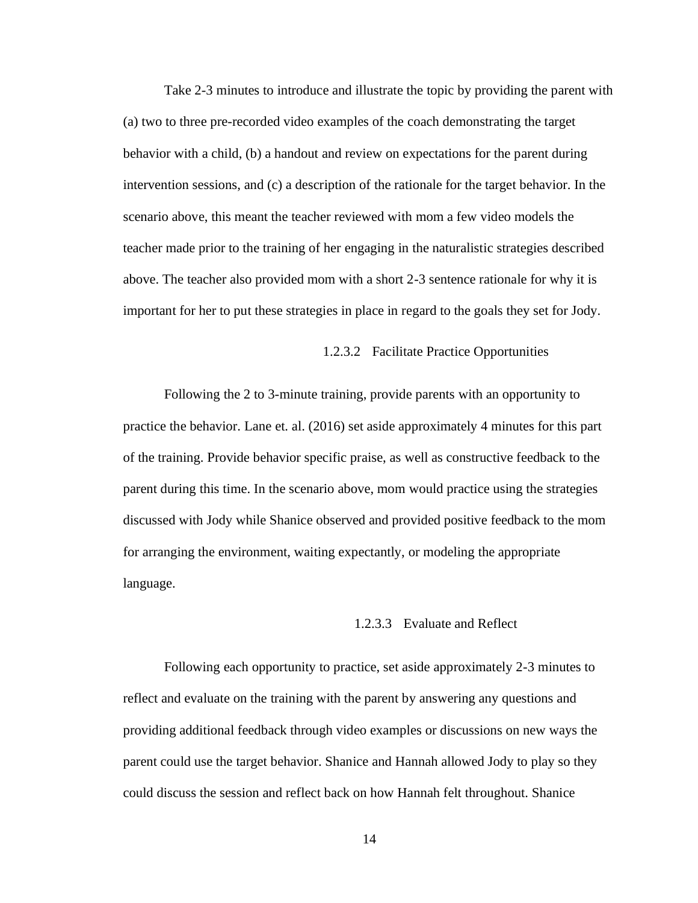Take 2-3 minutes to introduce and illustrate the topic by providing the parent with (a) two to three pre-recorded video examples of the coach demonstrating the target behavior with a child, (b) a handout and review on expectations for the parent during intervention sessions, and (c) a description of the rationale for the target behavior. In the scenario above, this meant the teacher reviewed with mom a few video models the teacher made prior to the training of her engaging in the naturalistic strategies described above. The teacher also provided mom with a short 2-3 sentence rationale for why it is important for her to put these strategies in place in regard to the goals they set for Jody.

#### 1.2.3.2 Facilitate Practice Opportunities

<span id="page-22-0"></span>Following the 2 to 3-minute training, provide parents with an opportunity to practice the behavior. Lane et. al. (2016) set aside approximately 4 minutes for this part of the training. Provide behavior specific praise, as well as constructive feedback to the parent during this time. In the scenario above, mom would practice using the strategies discussed with Jody while Shanice observed and provided positive feedback to the mom for arranging the environment, waiting expectantly, or modeling the appropriate language.

#### 1.2.3.3 Evaluate and Reflect

<span id="page-22-1"></span>Following each opportunity to practice, set aside approximately 2-3 minutes to reflect and evaluate on the training with the parent by answering any questions and providing additional feedback through video examples or discussions on new ways the parent could use the target behavior. Shanice and Hannah allowed Jody to play so they could discuss the session and reflect back on how Hannah felt throughout. Shanice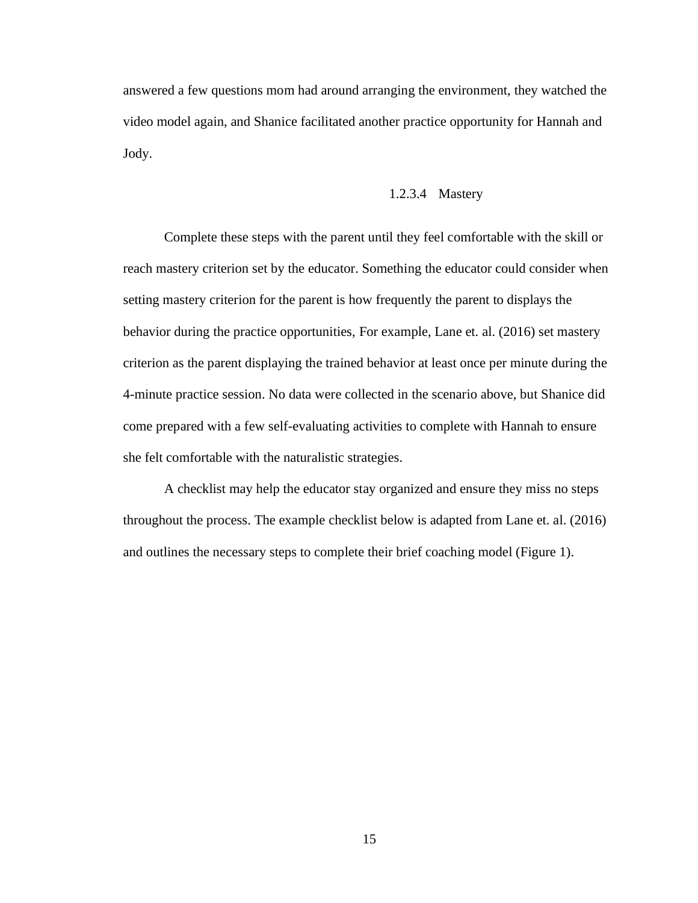answered a few questions mom had around arranging the environment, they watched the video model again, and Shanice facilitated another practice opportunity for Hannah and Jody.

#### 1.2.3.4 Mastery

<span id="page-23-0"></span>Complete these steps with the parent until they feel comfortable with the skill or reach mastery criterion set by the educator. Something the educator could consider when setting mastery criterion for the parent is how frequently the parent to displays the behavior during the practice opportunities, For example, Lane et. al. (2016) set mastery criterion as the parent displaying the trained behavior at least once per minute during the 4-minute practice session. No data were collected in the scenario above, but Shanice did come prepared with a few self-evaluating activities to complete with Hannah to ensure she felt comfortable with the naturalistic strategies.

A checklist may help the educator stay organized and ensure they miss no steps throughout the process. The example checklist below is adapted from Lane et. al. (2016) and outlines the necessary steps to complete their brief coaching model (Figure 1).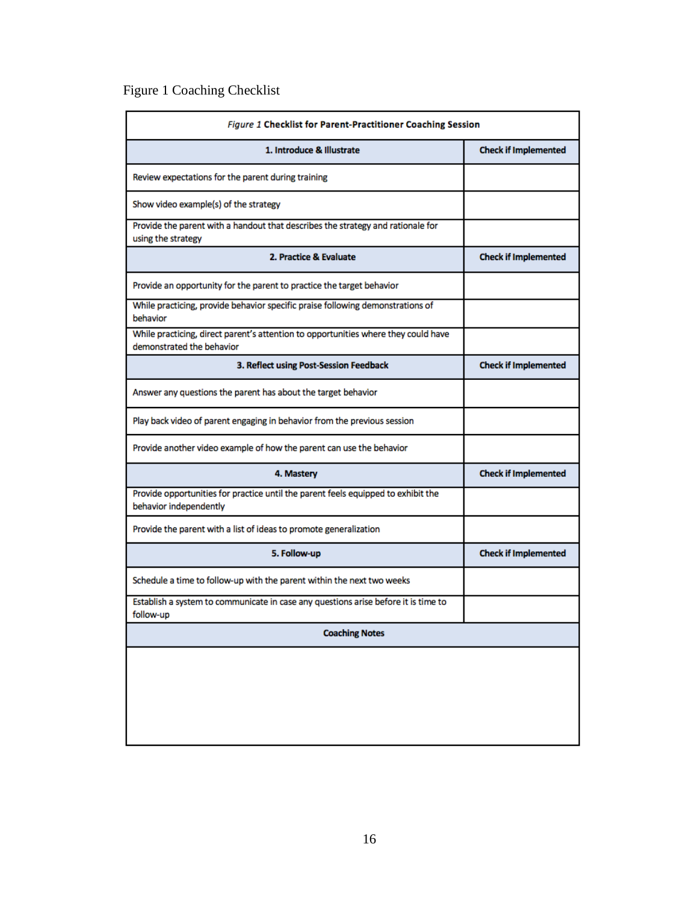# <span id="page-24-0"></span>Figure 1 Coaching Checklist

| Figure 1 Checklist for Parent-Practitioner Coaching Session                                                     |                             |  |
|-----------------------------------------------------------------------------------------------------------------|-----------------------------|--|
| 1. Introduce & Illustrate                                                                                       | <b>Check if Implemented</b> |  |
| Review expectations for the parent during training                                                              |                             |  |
| Show video example(s) of the strategy                                                                           |                             |  |
| Provide the parent with a handout that describes the strategy and rationale for<br>using the strategy           |                             |  |
| 2. Practice & Evaluate                                                                                          | <b>Check if Implemented</b> |  |
| Provide an opportunity for the parent to practice the target behavior                                           |                             |  |
| While practicing, provide behavior specific praise following demonstrations of<br>behavior                      |                             |  |
| While practicing, direct parent's attention to opportunities where they could have<br>demonstrated the behavior |                             |  |
| 3. Reflect using Post-Session Feedback                                                                          | <b>Check if Implemented</b> |  |
| Answer any questions the parent has about the target behavior                                                   |                             |  |
| Play back video of parent engaging in behavior from the previous session                                        |                             |  |
| Provide another video example of how the parent can use the behavior                                            |                             |  |
| 4. Mastery                                                                                                      | <b>Check if Implemented</b> |  |
| Provide opportunities for practice until the parent feels equipped to exhibit the<br>behavior independently     |                             |  |
| Provide the parent with a list of ideas to promote generalization                                               |                             |  |
| 5. Follow-up                                                                                                    | <b>Check if Implemented</b> |  |
| Schedule a time to follow-up with the parent within the next two weeks                                          |                             |  |
| Establish a system to communicate in case any questions arise before it is time to<br>follow-up                 |                             |  |
| <b>Coaching Notes</b>                                                                                           |                             |  |
|                                                                                                                 |                             |  |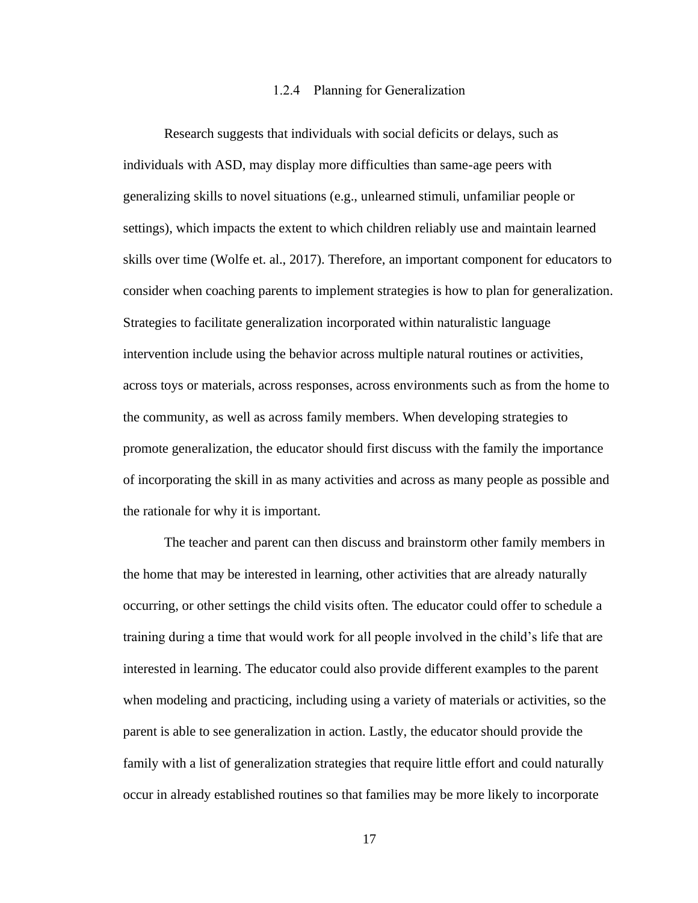#### 1.2.4 Planning for Generalization

<span id="page-25-0"></span>Research suggests that individuals with social deficits or delays, such as individuals with ASD, may display more difficulties than same-age peers with generalizing skills to novel situations (e.g., unlearned stimuli, unfamiliar people or settings), which impacts the extent to which children reliably use and maintain learned skills over time (Wolfe et. al., 2017). Therefore, an important component for educators to consider when coaching parents to implement strategies is how to plan for generalization. Strategies to facilitate generalization incorporated within naturalistic language intervention include using the behavior across multiple natural routines or activities, across toys or materials, across responses, across environments such as from the home to the community, as well as across family members. When developing strategies to promote generalization, the educator should first discuss with the family the importance of incorporating the skill in as many activities and across as many people as possible and the rationale for why it is important.

The teacher and parent can then discuss and brainstorm other family members in the home that may be interested in learning, other activities that are already naturally occurring, or other settings the child visits often. The educator could offer to schedule a training during a time that would work for all people involved in the child's life that are interested in learning. The educator could also provide different examples to the parent when modeling and practicing, including using a variety of materials or activities, so the parent is able to see generalization in action. Lastly, the educator should provide the family with a list of generalization strategies that require little effort and could naturally occur in already established routines so that families may be more likely to incorporate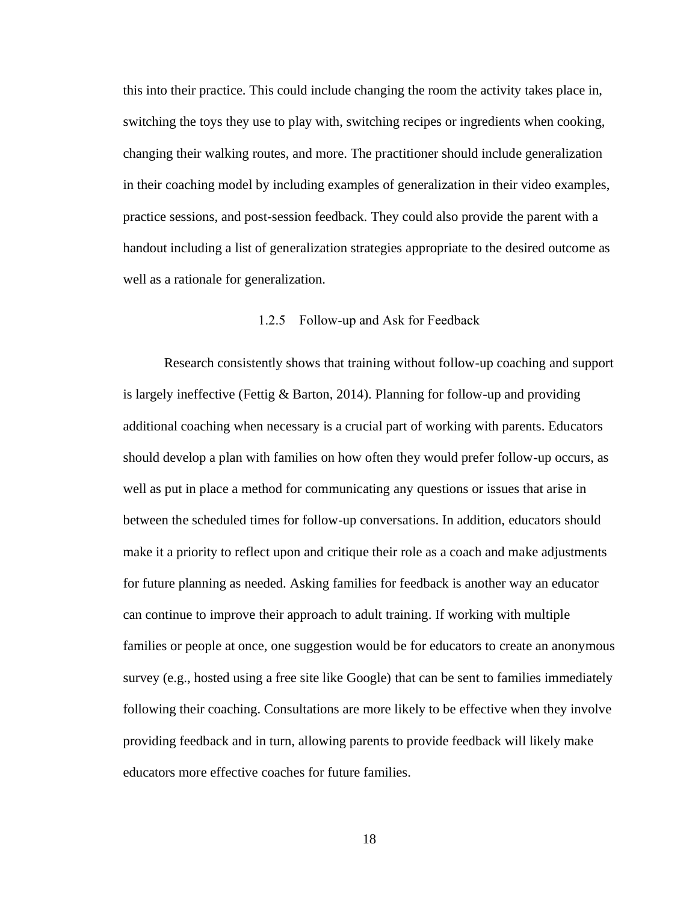this into their practice. This could include changing the room the activity takes place in, switching the toys they use to play with, switching recipes or ingredients when cooking, changing their walking routes, and more. The practitioner should include generalization in their coaching model by including examples of generalization in their video examples, practice sessions, and post-session feedback. They could also provide the parent with a handout including a list of generalization strategies appropriate to the desired outcome as well as a rationale for generalization.

#### 1.2.5 Follow-up and Ask for Feedback

<span id="page-26-0"></span>Research consistently shows that training without follow-up coaching and support is largely ineffective (Fettig & Barton, 2014). Planning for follow-up and providing additional coaching when necessary is a crucial part of working with parents. Educators should develop a plan with families on how often they would prefer follow-up occurs, as well as put in place a method for communicating any questions or issues that arise in between the scheduled times for follow-up conversations. In addition, educators should make it a priority to reflect upon and critique their role as a coach and make adjustments for future planning as needed. Asking families for feedback is another way an educator can continue to improve their approach to adult training. If working with multiple families or people at once, one suggestion would be for educators to create an anonymous survey (e.g., hosted using a free site like Google) that can be sent to families immediately following their coaching. Consultations are more likely to be effective when they involve providing feedback and in turn, allowing parents to provide feedback will likely make educators more effective coaches for future families.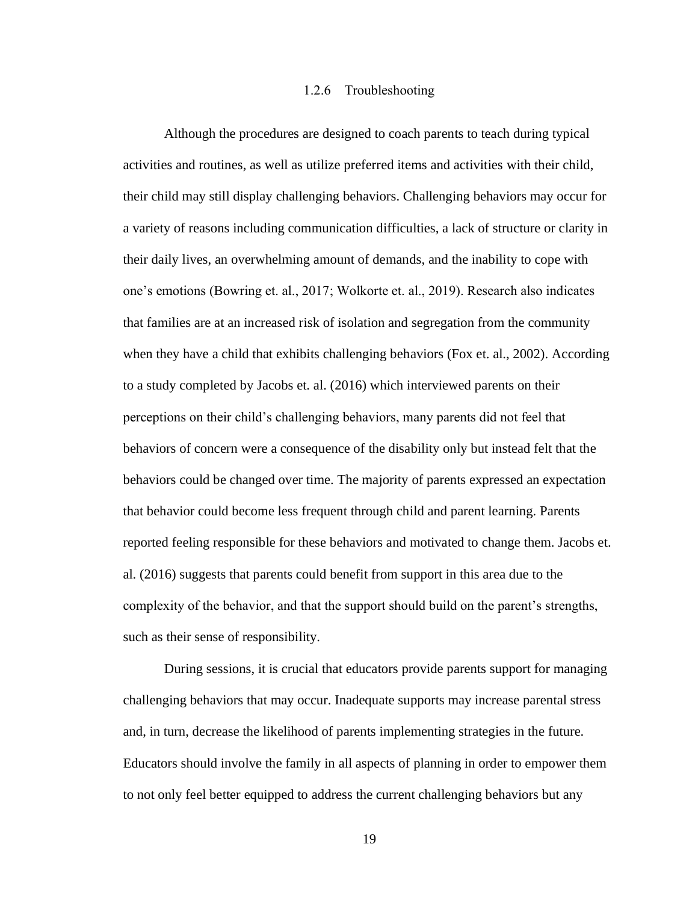#### 1.2.6 Troubleshooting

<span id="page-27-0"></span>Although the procedures are designed to coach parents to teach during typical activities and routines, as well as utilize preferred items and activities with their child, their child may still display challenging behaviors. Challenging behaviors may occur for a variety of reasons including communication difficulties, a lack of structure or clarity in their daily lives, an overwhelming amount of demands, and the inability to cope with one's emotions (Bowring et. al., 2017; Wolkorte et. al., 2019). Research also indicates that families are at an increased risk of isolation and segregation from the community when they have a child that exhibits challenging behaviors (Fox et. al., 2002). According to a study completed by Jacobs et. al. (2016) which interviewed parents on their perceptions on their child's challenging behaviors, many parents did not feel that behaviors of concern were a consequence of the disability only but instead felt that the behaviors could be changed over time. The majority of parents expressed an expectation that behavior could become less frequent through child and parent learning. Parents reported feeling responsible for these behaviors and motivated to change them. Jacobs et. al. (2016) suggests that parents could benefit from support in this area due to the complexity of the behavior, and that the support should build on the parent's strengths, such as their sense of responsibility.

During sessions, it is crucial that educators provide parents support for managing challenging behaviors that may occur. Inadequate supports may increase parental stress and, in turn, decrease the likelihood of parents implementing strategies in the future. Educators should involve the family in all aspects of planning in order to empower them to not only feel better equipped to address the current challenging behaviors but any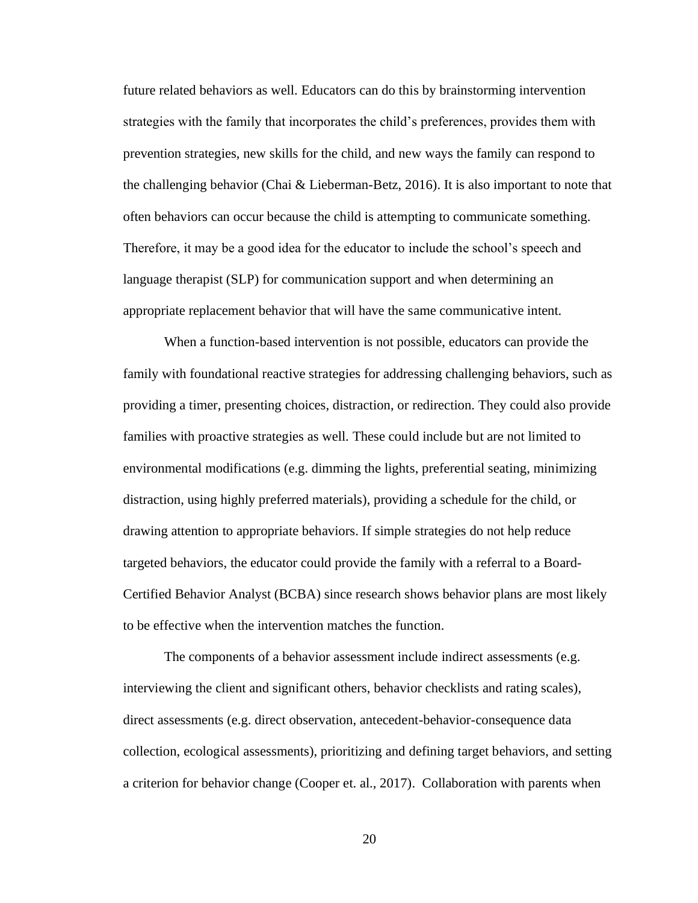future related behaviors as well. Educators can do this by brainstorming intervention strategies with the family that incorporates the child's preferences, provides them with prevention strategies, new skills for the child, and new ways the family can respond to the challenging behavior (Chai & Lieberman-Betz, 2016). It is also important to note that often behaviors can occur because the child is attempting to communicate something. Therefore, it may be a good idea for the educator to include the school's speech and language therapist (SLP) for communication support and when determining an appropriate replacement behavior that will have the same communicative intent.

When a function-based intervention is not possible, educators can provide the family with foundational reactive strategies for addressing challenging behaviors, such as providing a timer, presenting choices, distraction, or redirection. They could also provide families with proactive strategies as well. These could include but are not limited to environmental modifications (e.g. dimming the lights, preferential seating, minimizing distraction, using highly preferred materials), providing a schedule for the child, or drawing attention to appropriate behaviors. If simple strategies do not help reduce targeted behaviors, the educator could provide the family with a referral to a Board-Certified Behavior Analyst (BCBA) since research shows behavior plans are most likely to be effective when the intervention matches the function.

The components of a behavior assessment include indirect assessments (e.g. interviewing the client and significant others, behavior checklists and rating scales), direct assessments (e.g. direct observation, antecedent-behavior-consequence data collection, ecological assessments), prioritizing and defining target behaviors, and setting a criterion for behavior change (Cooper et. al., 2017). Collaboration with parents when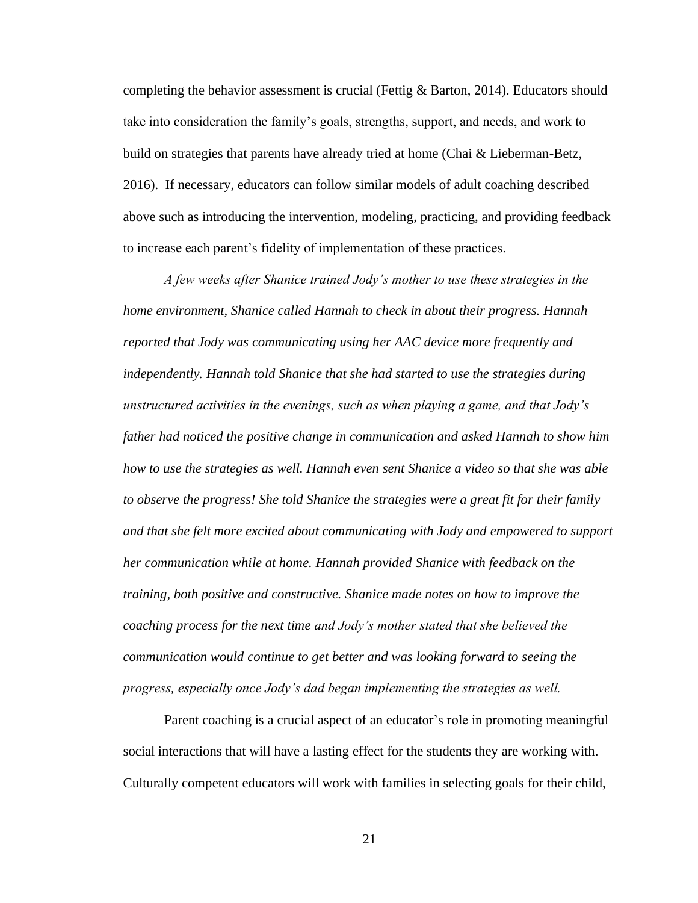completing the behavior assessment is crucial (Fettig & Barton, 2014). Educators should take into consideration the family's goals, strengths, support, and needs, and work to build on strategies that parents have already tried at home (Chai & Lieberman-Betz, 2016). If necessary, educators can follow similar models of adult coaching described above such as introducing the intervention, modeling, practicing, and providing feedback to increase each parent's fidelity of implementation of these practices.

*A few weeks after Shanice trained Jody's mother to use these strategies in the home environment, Shanice called Hannah to check in about their progress. Hannah reported that Jody was communicating using her AAC device more frequently and independently. Hannah told Shanice that she had started to use the strategies during unstructured activities in the evenings, such as when playing a game, and that Jody's father had noticed the positive change in communication and asked Hannah to show him how to use the strategies as well. Hannah even sent Shanice a video so that she was able to observe the progress! She told Shanice the strategies were a great fit for their family and that she felt more excited about communicating with Jody and empowered to support her communication while at home. Hannah provided Shanice with feedback on the training, both positive and constructive. Shanice made notes on how to improve the coaching process for the next time and Jody's mother stated that she believed the communication would continue to get better and was looking forward to seeing the progress, especially once Jody's dad began implementing the strategies as well.* 

Parent coaching is a crucial aspect of an educator's role in promoting meaningful social interactions that will have a lasting effect for the students they are working with. Culturally competent educators will work with families in selecting goals for their child,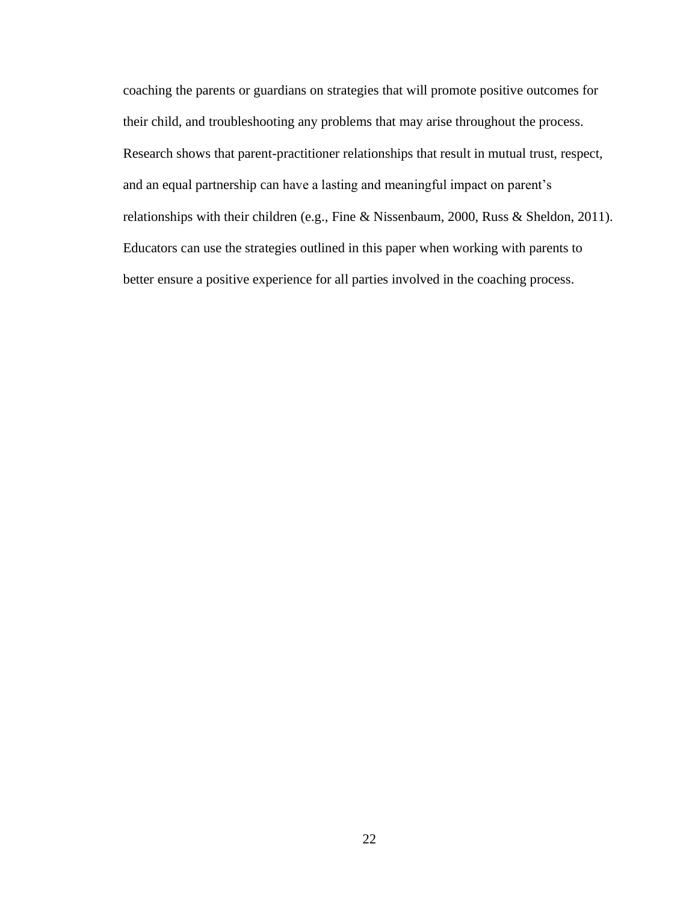coaching the parents or guardians on strategies that will promote positive outcomes for their child, and troubleshooting any problems that may arise throughout the process. Research shows that parent-practitioner relationships that result in mutual trust, respect, and an equal partnership can have a lasting and meaningful impact on parent's relationships with their children (e.g., Fine & Nissenbaum, 2000, Russ & Sheldon, 2011). Educators can use the strategies outlined in this paper when working with parents to better ensure a positive experience for all parties involved in the coaching process.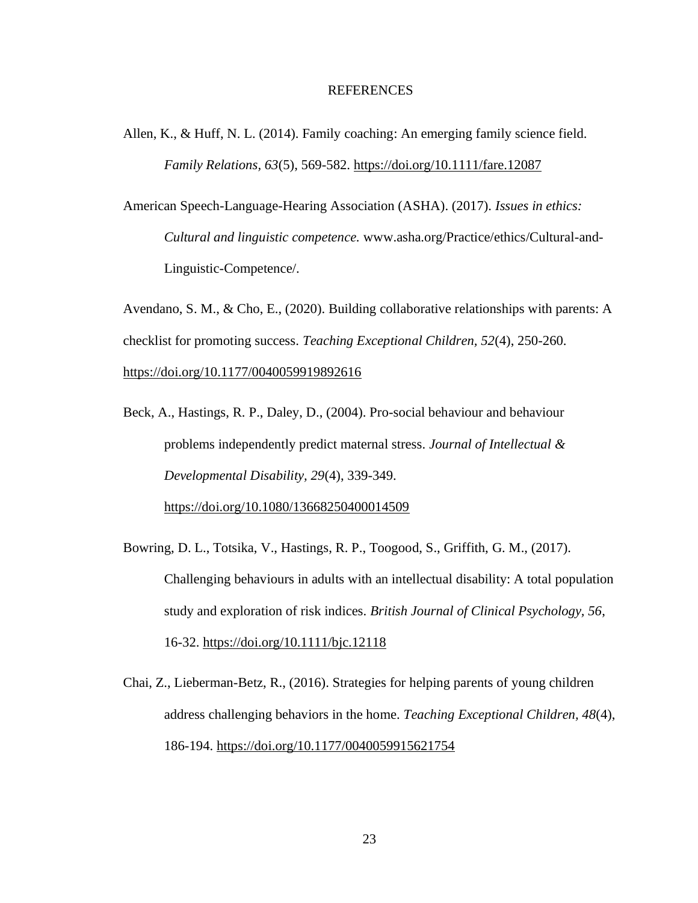#### <span id="page-31-0"></span>**REFERENCES**

- Allen, K., & Huff, N. L. (2014). Family coaching: An emerging family science field. *Family Relations, 63*(5), 569-582. <https://doi.org/10.1111/fare.12087>
- American Speech-Language-Hearing Association (ASHA). (2017). *Issues in ethics: Cultural and linguistic competence.* [www.asha.org/Practice/ethics/Cultural-and-](https://www.asha.org/Practice/ethics/Cultural-and-Linguistic-Competence/)[Linguistic-Competence/.](https://www.asha.org/Practice/ethics/Cultural-and-Linguistic-Competence/)

Avendano, S. M., & Cho, E., (2020). Building collaborative relationships with parents: A checklist for promoting success. *Teaching Exceptional Children, 52*(4), 250-260. [https://doi.org/10.1177/0040059919892616](https://doi.org/10.1177%2F0040059919892616)

- Beck, A., Hastings, R. P., Daley, D., (2004). Pro-social behaviour and behaviour problems independently predict maternal stress. *Journal of Intellectual & Developmental Disability, 29*(4), 339-349. <https://doi.org/10.1080/13668250400014509>
- Bowring, D. L., Totsika, V., Hastings, R. P., Toogood, S., Griffith, G. M., (2017). Challenging behaviours in adults with an intellectual disability: A total population study and exploration of risk indices. *British Journal of Clinical Psychology, 56*, 16-32.<https://doi.org/10.1111/bjc.12118>
- Chai, Z., Lieberman-Betz, R., (2016). Strategies for helping parents of young children address challenging behaviors in the home. *Teaching Exceptional Children, 48*(4), 186-194.<https://doi.org/10.1177/0040059915621754>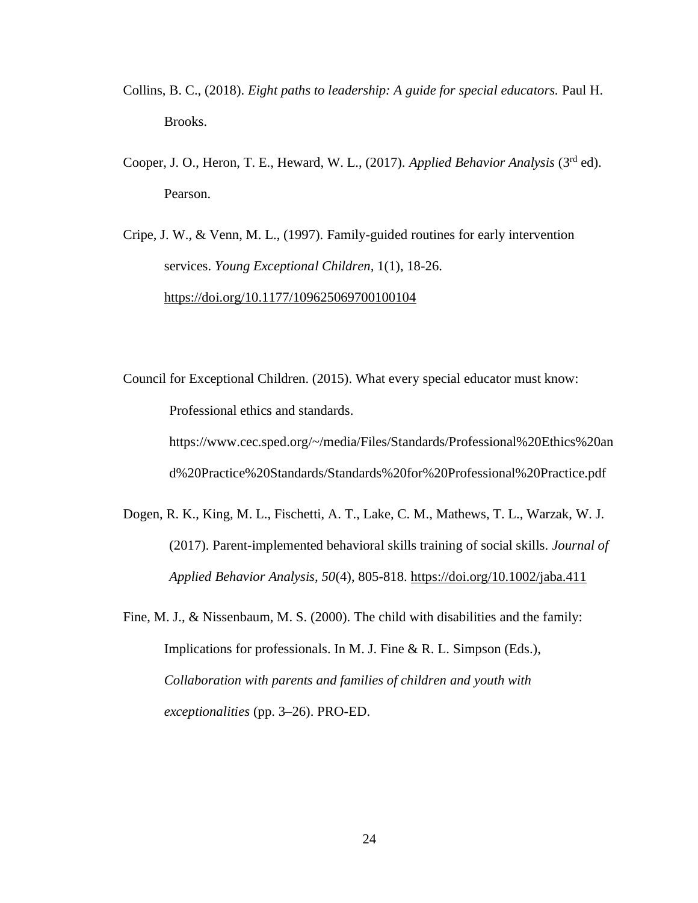- Collins, B. C., (2018). *Eight paths to leadership: A guide for special educators.* Paul H. Brooks.
- Cooper, J. O., Heron, T. E., Heward, W. L., (2017). *Applied Behavior Analysis* (3rd ed). Pearson.
- Cripe, J. W., & Venn, M. L., (1997). Family-guided routines for early intervention services. *Young Exceptional Children,* 1(1), 18-26. <https://doi.org/10.1177/109625069700100104>

Council for Exceptional Children. (2015). What every special educator must know: Professional ethics and standards.

https://www.cec.sped.org/~/media/Files/Standards/Professional%20Ethics%20an d%20Practice%20Standards/Standards%20for%20Professional%20Practice.pdf

Dogen, R. K., King, M. L., Fischetti, A. T., Lake, C. M., Mathews, T. L., Warzak, W. J. (2017). Parent-implemented behavioral skills training of social skills. *Journal of Applied Behavior Analysis, 50*(4), 805-818.<https://doi.org/10.1002/jaba.411>

Fine, M. J., & Nissenbaum, M. S. (2000). The child with disabilities and the family: Implications for professionals. In M. J. Fine & R. L. Simpson (Eds.), *Collaboration with parents and families of children and youth with exceptionalities* (pp. 3–26). PRO-ED.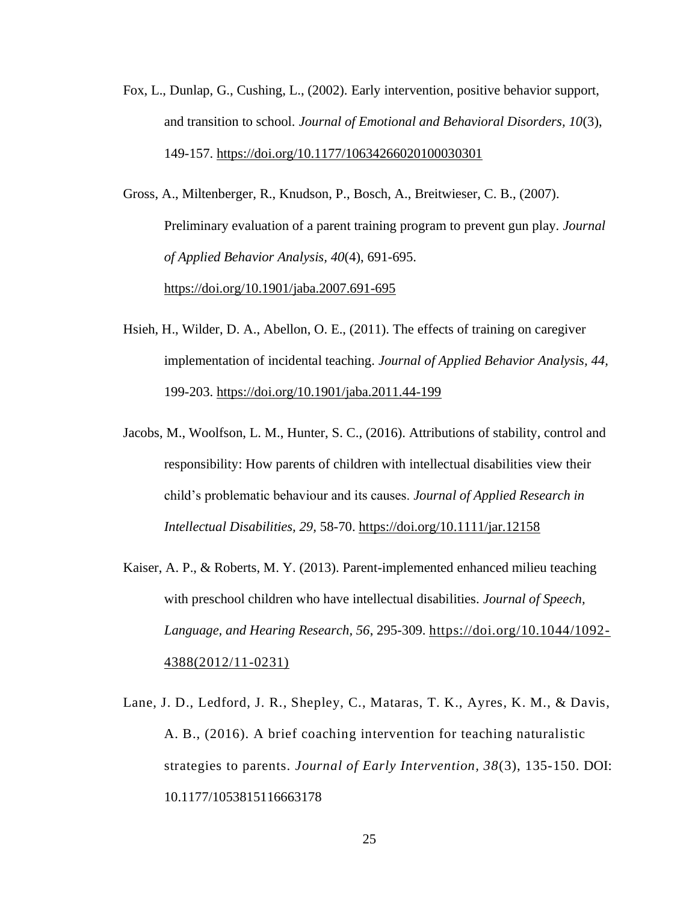Fox, L., Dunlap, G., Cushing, L., (2002). Early intervention, positive behavior support, and transition to school. *Journal of Emotional and Behavioral Disorders, 10*(3), 149-157.<https://doi.org/10.1177/10634266020100030301>

Gross, A., Miltenberger, R., Knudson, P., Bosch, A., Breitwieser, C. B., (2007). Preliminary evaluation of a parent training program to prevent gun play. *Journal of Applied Behavior Analysis, 40*(4), 691-695. <https://doi.org/10.1901/jaba.2007.691-695>

- Hsieh, H., Wilder, D. A., Abellon, O. E., (2011). The effects of training on caregiver implementation of incidental teaching. *Journal of Applied Behavior Analysis, 44,*  199-203.<https://doi.org/10.1901/jaba.2011.44-199>
- Jacobs, M., Woolfson, L. M., Hunter, S. C., (2016). Attributions of stability, control and responsibility: How parents of children with intellectual disabilities view their child's problematic behaviour and its causes. *Journal of Applied Research in Intellectual Disabilities, 29,* 58-70.<https://doi.org/10.1111/jar.12158>
- Kaiser, A. P., & Roberts, M. Y. (2013). Parent-implemented enhanced milieu teaching with preschool children who have intellectual disabilities. *Journal of Speech, Language, and Hearing Research, 56*, 295-309. [https://doi.org/10.1044/1092-](https://doi.org/10.1044/1092-4388(2012/11-0231)) [4388\(2012/11-0231\)](https://doi.org/10.1044/1092-4388(2012/11-0231))
- Lane, J. D., Ledford, J. R., Shepley, C., Mataras, T. K., Ayres, K. M., & Davis, A. B., (2016). A brief coaching intervention for teaching naturalistic strategies to parents. *Journal of Early Intervention, 38*(3), 135-150. DOI: 10.1177/1053815116663178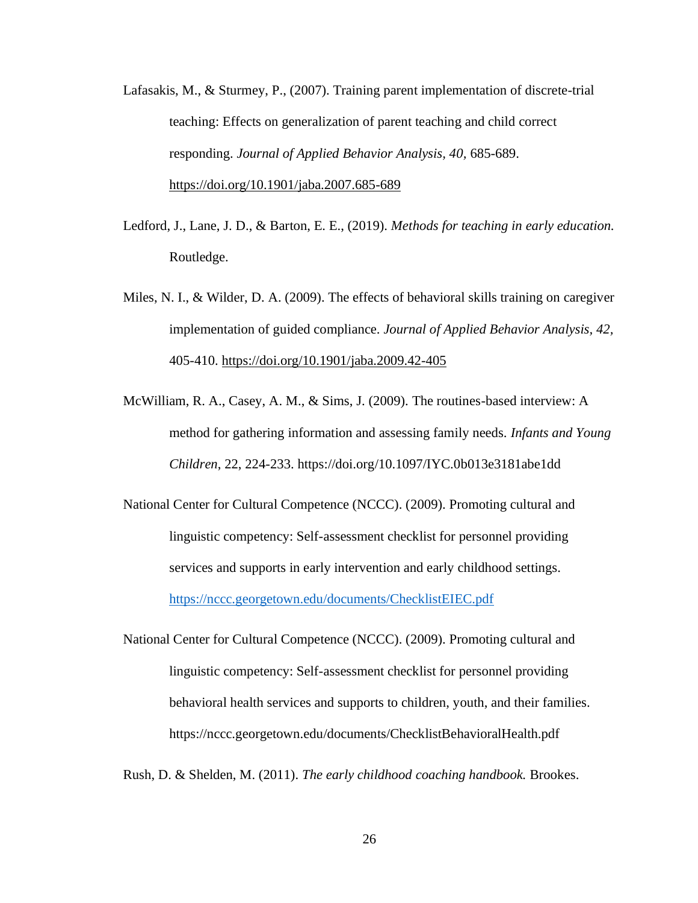- Lafasakis, M., & Sturmey, P., (2007). Training parent implementation of discrete-trial teaching: Effects on generalization of parent teaching and child correct responding. *Journal of Applied Behavior Analysis, 40,* 685-689. <https://doi.org/10.1901/jaba.2007.685-689>
- Ledford, J., Lane, J. D., & Barton, E. E., (2019). *Methods for teaching in early education.*  Routledge.
- Miles, N. I., & Wilder, D. A. (2009). The effects of behavioral skills training on caregiver implementation of guided compliance. *Journal of Applied Behavior Analysis, 42,* 405-410.<https://doi.org/10.1901/jaba.2009.42-405>
- McWilliam, R. A., Casey, A. M., & Sims, J. (2009). The routines-based interview: A method for gathering information and assessing family needs. *Infants and Young Children*, 22, 224-233. https://doi.org/10.1097/IYC.0b013e3181abe1dd

National Center for Cultural Competence (NCCC). (2009). Promoting cultural and linguistic competency: Self-assessment checklist for personnel providing services and supports in early intervention and early childhood settings. <https://nccc.georgetown.edu/documents/ChecklistEIEC.pdf>

National Center for Cultural Competence (NCCC). (2009). Promoting cultural and linguistic competency: Self-assessment checklist for personnel providing behavioral health services and supports to children, youth, and their families. https://nccc.georgetown.edu/documents/ChecklistBehavioralHealth.pdf

Rush, D. & Shelden, M. (2011). *The early childhood coaching handbook.* Brookes.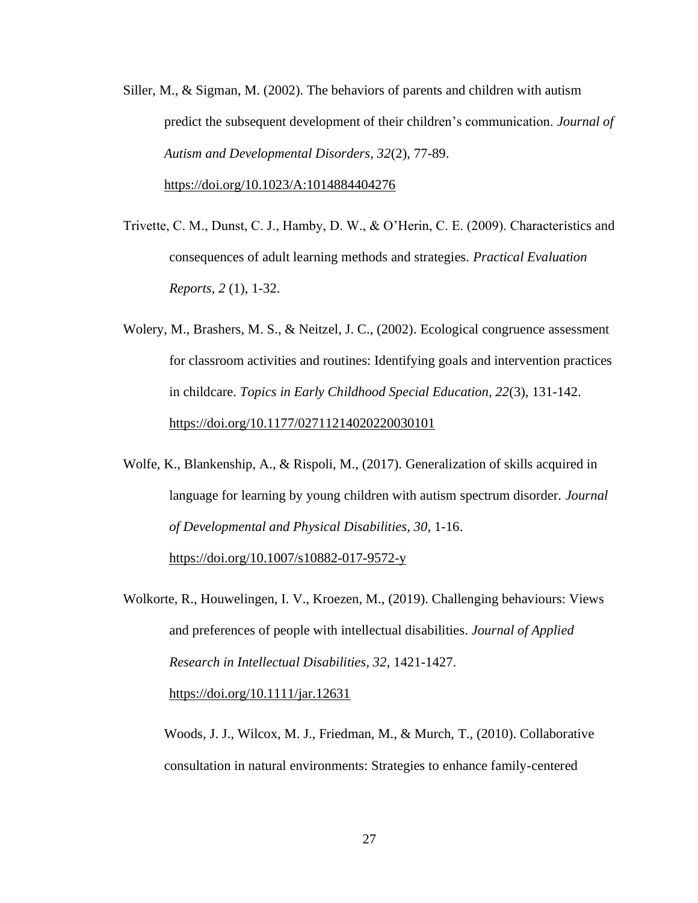- Siller, M., & Sigman, M. (2002). The behaviors of parents and children with autism predict the subsequent development of their children's communication. *Journal of Autism and Developmental Disorders, 32*(2), 77-89. <https://doi.org/10.1023/A:1014884404276>
- Trivette, C. M., Dunst, C. J., Hamby, D. W., & O'Herin, C. E. (2009). Characteristics and consequences of adult learning methods and strategies. *Practical Evaluation Reports, 2* (1), 1-32.
- Wolery, M., Brashers, M. S., & Neitzel, J. C., (2002). Ecological congruence assessment for classroom activities and routines: Identifying goals and intervention practices in childcare. *Topics in Early Childhood Special Education, 22*(3), 131-142. <https://doi.org/10.1177/02711214020220030101>
- Wolfe, K., Blankenship, A., & Rispoli, M., (2017). Generalization of skills acquired in language for learning by young children with autism spectrum disorder. *Journal of Developmental and Physical Disabilities, 30*, 1-16. <https://doi.org/10.1007/s10882-017-9572-y>
- Wolkorte, R., Houwelingen, I. V., Kroezen, M., (2019). Challenging behaviours: Views and preferences of people with intellectual disabilities. *Journal of Applied Research in Intellectual Disabilities, 32*, 1421-1427. <https://doi.org/10.1111/jar.12631>

Woods, J. J., Wilcox, M. J., Friedman, M., & Murch, T., (2010). Collaborative consultation in natural environments: Strategies to enhance family-centered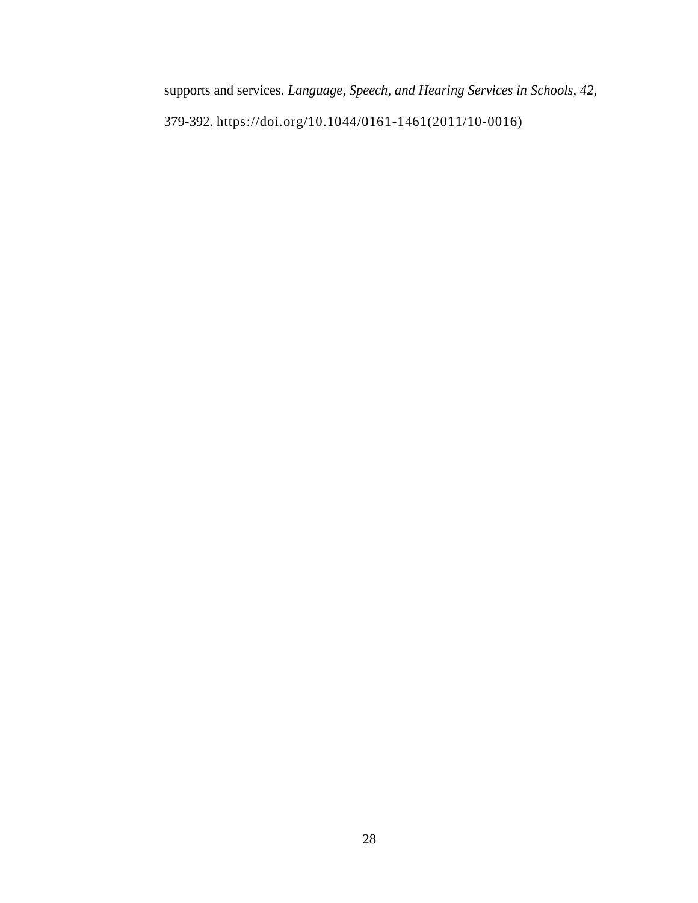supports and services. *Language, Speech, and Hearing Services in Schools, 42,* 

379-392. [https://doi.org/10.1044/0161-1461\(2011/10-0016\)](https://doi.org/10.1044/0161-1461(2011/10-0016))